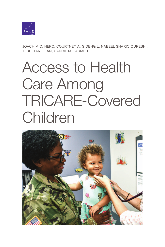

JOACHIM O. HERO, COURTNEY A. GIDENGIL, NABEEL SHARIQ QURESHI, TERRI TANIELIAN, CARRIE M. FARMER

# Access to Health Care Among [TRICARE-Covered](https://www.rand.org/pubs/research_reports/RRA472-1.html) Children

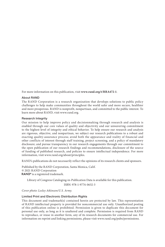For more information on this publication, visit **www.rand.org/t/RRA472-1**.

#### About RAND

The RAND Cor[poration is a research organiza](http://www.rand.org/about/principles)tion that develops solutions to public policy challenges to help make communities throughout the world safer and more secure, healthier and more prosperous. RAND is nonprofit, nonpartisan, and committed to the public interest. To learn more about RAND, visit www.rand.org.

#### Research Integrity

Our mission to help improve policy and decisionmaking through research and analysis is enabled through our core values of quality and objectivity and our unwavering commitment to the highest level of integrity and ethical behavior. To help ensure our research and analysis are rigorous, objective, and nonpartisan, we subject our research publications to a robust and exacting quality-assurance process; avoid both the appearance and reality of financial and other conflicts of interest through staff training, project screening, and a policy of mandatory disclosure; and pursue transparency in our research engagements through our commitment to the open publication of our research findings and recommendations, disclosure of the source of funding of published research, and policies to ensure intellectual independence. For more information, visit www.rand.org/about/principles.

RAND's publications do not necessarily reflect the opinions [of its research clients and sponsor](http://www.rand.org/pubs/permissions)s.

Published by the RAND Corporation, Santa Monica, Calif. © 2021 RAND Corporation RAND<sup>®</sup> is a registered trademark.

Library of Congress Cataloging-in-Publication Data is available for this publication.

ISBN: 978-1-9774-0632-3

*Cover photo: Lesley Atkinson/U.S. Army.* 

#### Limited Print and Electronic Distribution Rights

This document and trademark(s) contained herein are protected by law. This representation of RAND intellectual property is provided for noncommercial use only. Unauthorized posting of this publication online is prohibited. Permission is given to duplicate this document for personal use only, as long as it is unaltered and complete. Permission is required from RAND to reproduce, or reuse in another form, any of its research documents for commercial use. For information on reprint and linking permissions, please visit www.rand.org/pubs/permissions.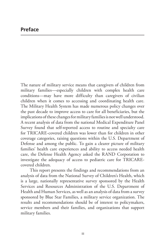The nature of military service means that caregivers of children from military families—especially children with complex health care conditions—may have more difficulty than caregivers of civilian children when it comes to accessing and coordinating health care. The Military Health System has made numerous policy changes over the past decade to improve access to care for all beneficiaries, but the implications of these changes for military families is not well understood. A recent analysis of data from the national Medical Expenditure Panel Survey found that self-reported access to routine and specialty care for TRICARE-covered children was lower than for children in other coverage categories, raising questions within the U.S. Department of Defense and among the public. To gain a clearer picture of military families' health care experiences and ability to access needed health care, the Defense Health Agency asked the RAND Corporation to investigate the adequacy of access to pediatric care for TRICAREcovered children.

This report presents the findings and recommendations from an analysis of data from the National Survey of Children's Health, which is a large, nationally representative survey sponsored by the Health Services and Resources Administration of the U.S. Department of Health and Human Services, as well as an analysis of data from a survey sponsored by Blue Star Families, a military service organization. The results and recommendations should be of interest to policymakers, service members and their families, and organizations that support military families.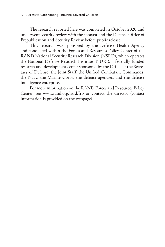#### iv Access to Care Among TRICARE-Covered Children

The research reported here was completed in October 2020 and underwent security review with the sponsor and the Defense Office of Prepublicati[on and Security Review](http://www.rand.org/nsrd/frp) before public release.

This research was sponsored by the Defense Health Agency and conducted within the Forces and Resources Policy Center of the RAND National Security Research Division (NSRD), which operates the National Defense Research Institute (NDRI), a federally funded research and development center sponsored by the Office of the Secretary of Defense, the Joint Staff, the Unified Combatant Commands, the Navy, the Marine Corps, the defense agencies, and the defense intelligence enterprise.

For more information on the RAND Forces and Resources Policy Center, see www.rand.org/nsrd/frp or contact the director (contact information is provided on the webpage).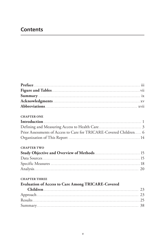# **Contents**

| <b>CHAPTER ONE</b>                                                 |  |
|--------------------------------------------------------------------|--|
|                                                                    |  |
|                                                                    |  |
| Prior Assessments of Access to Care for TRICARE-Covered Children 6 |  |
|                                                                    |  |
| <b>CHAPTER TWO</b>                                                 |  |
|                                                                    |  |
|                                                                    |  |
|                                                                    |  |
|                                                                    |  |
| <b>CHAPTER THREE</b>                                               |  |
| <b>Evaluation of Access to Care Among TRICARE-Covered</b>          |  |
|                                                                    |  |
|                                                                    |  |
|                                                                    |  |
|                                                                    |  |
|                                                                    |  |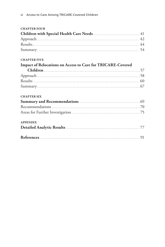| <b>CHAPTER FOUR</b> |  |
|---------------------|--|
|                     |  |
|                     |  |
|                     |  |
|                     |  |

#### **CHAPTER FIVE**

| Impact of Relocations on Access to Care for TRICARE-Covered |  |  |  |
|-------------------------------------------------------------|--|--|--|
|                                                             |  |  |  |
|                                                             |  |  |  |
|                                                             |  |  |  |
|                                                             |  |  |  |

#### **CHAPTER SIX**

#### **APPENDIX**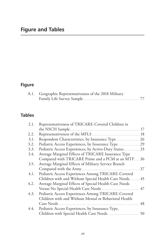# **Figure**

| A.1. Geographic Representativeness of the 2018 Military |  |
|---------------------------------------------------------|--|
|                                                         |  |

# **Tables**

| 2.1. | Representativeness of TRICARE-Covered Children in      |    |
|------|--------------------------------------------------------|----|
|      |                                                        |    |
| 2.2. |                                                        |    |
| 3.1. | Respondent Characteristics, by Insurance Type  26      |    |
| 3.2. | Pediatric Access Experiences, by Insurance Type 29     |    |
| 3.3. | Pediatric Access Experiences, by Active-Duty Status 33 |    |
| 3.4. | Average Marginal Effects of TRICARE Insurance Type     |    |
|      | Compared with TRICARE Prime and a PCM at an MTF 36     |    |
| 3.5. | Average Marginal Effects of Military Service Branch    |    |
|      |                                                        |    |
| 4.1. | Pediatric Access Experiences Among TRICARE-Covered     |    |
|      | Children with and Without Special Health Care Needs 45 |    |
| 4.2. | Average Marginal Effects of Special Health Care Needs  |    |
|      | Versus No Special Health Care Needs 47                 |    |
| 4.3. | Pediatric Access Experiences Among TRICARE-Covered     |    |
|      | Children with and Without Mental or Behavioral Health  |    |
|      |                                                        | 48 |
| 4.4. | Pediatric Access Experiences, by Insurance Type,       |    |
|      |                                                        |    |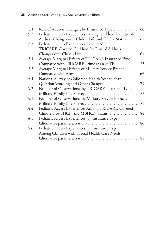| 5.1. |                                                         |    |
|------|---------------------------------------------------------|----|
| 5.2. | Pediatric Access Experiences Among Children, by Rate of |    |
|      | Address Changes over Child's Life and SHCN Status 62    |    |
| 5.3. | Pediatric Access Experiences Among All                  |    |
|      | TRICARE-Covered Children, by Rate of Address            |    |
|      |                                                         |    |
| 5.4. | Average Marginal Effects of TRICARE Insurance Type      |    |
|      |                                                         |    |
| 5.5. | Average Marginal Effects of Military Service Branch     |    |
|      |                                                         |    |
| A.1. | National Survey of Children's Health Year-to-Year       |    |
|      |                                                         |    |
| A.2. | Number of Observations, by TRICARE Insurance Type,      |    |
|      |                                                         |    |
| A.3. | Number of Observations, by Military Service Branch,     |    |
|      |                                                         |    |
| A.4. | Pediatric Access Experiences Among TRICARE-Covered      |    |
|      |                                                         |    |
| A.5. | Pediatric Access Experiences, by Insurance Type         |    |
|      |                                                         | 86 |
| A.6. | Pediatric Access Experiences, by Insurance Type,        |    |
|      | Among Children with Special Health Care Needs           |    |
|      |                                                         |    |
|      |                                                         |    |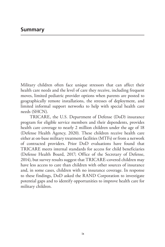Military children often face unique stressors that can affect their health care needs and the level of care they receive, including frequent moves, limited pediatric provider options when parents are posted to geographically remote installations, the stresses of deployment, and limited informal support networks to help with special health care needs (SHCN).

TRICARE, the U.S. Department of Defense (DoD) insurance program for eligible service members and their dependents, provides health care coverage to nearly 2 million children under the age of 18 (Defense Health Agency, 2020). These children receive health care either at on-base military treatment facilities (MTFs) or from a network of contracted providers. Prior DoD evaluations have found that TRICARE meets internal standards for access for child beneficiaries (Defense Health Board, 2017; Office of the Secretary of Defense, 2014), but survey results suggest that TRICARE-covered children may have less access to care than children with other sources of insurance and, in some cases, children with no insurance coverage. In response to these findings, DoD asked the RAND Corporation to investigate potential gaps and to identify opportunities to improve health care for military children.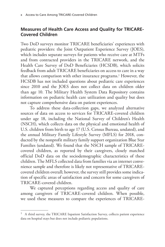# **Measures of Health Care Access and Quality for TRICARE-Covered Children**

Two DoD surveys monitor TRICARE beneficiaries' experiences with pediatric providers: the Joint Outpatient Experience Survey (JOES), which includes separate surveys for patients who receive care at MTFs and from contracted providers in the TRICARE network, and the Health Care Survey of DoD Beneficiaries (HCSDB), which solicits feedback from adult TRICARE beneficiaries on access to care in a way that allows comparison with other insurance programs.<sup>1</sup> However, the HCSDB has not included questions about pediatric care experiences since 2010 and the JOES does not collect data on children older than age 10. The Military Health System Data Repository contains information on pediatric health care utilization and quality but does not capture comprehensive data on patient experiences.

To address these data-collection gaps, we analyzed alternative sources of data on access to services for TRICARE-covered children under age 18, including the National Survey of Children's Health (NSCH), which collects data on the physical and emotional health of U.S. children from birth to age 17 (U.S. Census Bureau, undated), and the annual Military Family Lifestyle Survey (MFLS) for 2018, conducted by the nonprofit military family support organization Blue Star Families (undated). We found that the NSCH sample of TRICAREcovered children, as reported by their caregivers, closely matched official DoD data on the sociodemographic characteristics of these children. The MFLS collected data from families via an internet convenience sample and therefore is likely not representative of TRICAREcovered children overall; however, the survey still provides some indication of specific areas of satisfaction and concern for some caregivers of TRICARE-covered children.

We captured perceptions regarding access and quality of care among caregivers of TRICARE-covered children. When possible, we used these measures to compare the experiences of TRICARE-

<sup>1</sup> A third survey, the TRICARE Inpatient Satisfaction Survey, collects patient experience data on hospital stays but does not include pediatric populations.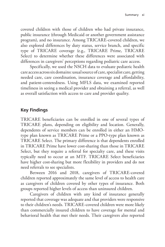covered children with those of children who had private insurance, public insurance (through Medicaid or another government assistance program), and no insurance. Among TRICARE-covered children, we also explored differences by duty status, service branch, and specific type of TRICARE coverage (e.g., TRICARE Prime, TRICARE Select) to determine whether these differences were associated with differences in caregivers' perceptions regarding pediatric care access.

Specifically, we used the NSCH data to evaluate pediatric health care access across six domains: usual source of care, specialist care, getting needed care, care coordination, insurance coverage and affordability, and patient-centeredness. Using MFLS data, we examined reported timeliness in seeing a medical provider and obtaining a referral, as well as overall satisfaction with access to care and provider quality.

# **Key Findings**

TRICARE beneficiaries can be enrolled in one of several types of TRICARE plans, depending on eligibility and location. Generally, dependents of service members can be enrolled in either an HMOtype plan known as TRICARE Prime or a PPO-type plan known as TRICARE Select. The primary difference is that dependents enrolled in TRICARE Prime have lower cost-sharing than those in TRICARE Select, but they require a referral for specialty care, and these visits typically need to occur at an MTF. TRICARE Select beneficiaries have higher cost-sharing but more flexibility in providers and do not need referrals to see specialists.

Between 2016 and 2018, caregivers of TRICARE-covered children reported approximately the same level of access to health care as caregivers of children covered by other types of insurance. Both groups reported higher levels of access than uninsured children.

Caregivers of children with any kind of insurance generally reported that coverage was adequate and that providers were responsive to their children's needs. TRICARE-covered children were more likely than commercially insured children to have coverage for mental and behavioral health that met their needs. Their caregivers also reported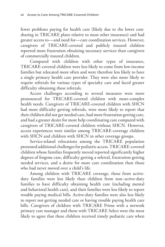fewer problems paying for health care (likely due to the lower costsharing in TRICARE plans relative to most other insurance) and had greater access to—and need for—care coordination services. However, caregivers of TRICARE-covered and publicly insured children reported more frustration obtaining necessary services than caregivers of commercially insured children.

Compared with children with other types of insurance, TRICARE-covered children were less likely to come from low-income families but relocated more often and were therefore less likely to have a single primary health care provider. They were also more likely to require referrals for various types of specialty care and faced greater difficulty obtaining these referrals.

Access challenges according to several measures were more pronounced for TRICARE-covered children with more-complex health needs. Caregivers of TRICARE-covered children with SHCN had more difficulty getting referrals, were more likely to report that their children did not get needed care, had more frustration getting care, and had a greater desire for more help coordinating care compared with caregivers of TRICARE-covered children without SHCN. However, access experiences were similar among TRICARE-coverage children with SHCN and children with SHCN in other coverage groups.

Service-related relocations among the TRICARE population presented additional challenges for pediatric access. TRICARE-covered children whose families frequently moved reported significantly higher degrees of forgone care, difficulty getting a referral, frustration getting needed services, and a desire for more care coordination than those who had never moved over a child's life.

Among children with TRICARE coverage, those from activeduty families were less likely than children from non–active-duty families to have difficulty obtaining health care (including mental and behavioral health care), and their families were less likely to report trouble paying medical bills. Active-duty families were also less likely to report not getting needed care or having trouble paying health care bills. Caregivers of children with TRICARE Prime with a network primary care manager and those with TRICARE Select were the most likely to agree that these children received timely pediatric care when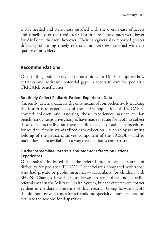it was needed and were more satisfied with the overall ease of access and timeliness of their children's health care. These rates were lower for Air Force children, however. Their caregivers also reported greater difficulty obtaining timely referrals and were less satisfied with the quality of providers.

# **Recommendations**

Our findings point to several opportunities for DoD to improve how it tracks and addresses potential gaps in access to care for pediatric TRICARE beneficiaries.

# **Routinely Collect Pediatric Patient Experience Data**

Currently, external data are the only means of comprehensively tracking the health care experiences of the entire population of TRICAREcovered children and assessing those experiences against civilian benchmarks. Legislative changes have made it easier for DoD to collect these data internally, but there is still a need to establish procedures for routine, timely, standardized data collection—such as by resuming fielding of the pediatric survey component of the HCSDB—and to make these data available in a way that facilitates comparison.

# **Further Streamline Referrals and Monitor Effects on Patient Experiences**

Our analysis indicated that the referral process was a source of difficulty for pediatric TRICARE beneficiaries compared with those who had private or public insurance—particularly for children with SHCN. Changes have been underway to streamline and expedite referrals within the Military Health System, but the effects were not yet evident in the data at the time of this research. Going forward, DoD should monitor wait times for referrals and specialty appointments and evaluate the reasons for disparities.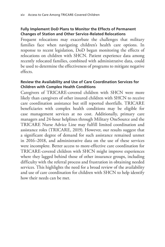## **Fully Implement DoD Plans to Monitor the Effects of Permanent Changes of Station and Other Service-Related Relocations**

Frequent relocations may exacerbate the challenges that military families face when navigating children's health care options. In response to recent legislation, DoD began monitoring the effects of relocations on children with SHCN. Patient experience data among recently relocated families, combined with administrative data, could be used to determine the effectiveness of programs to mitigate negative effects.

# **Review the Availability and Use of Care Coordination Services for Children with Complex Health Conditions**

Caregivers of TRICARE-covered children with SHCN were more likely than caregivers of other insured children with SHCN to receive care coordination assistance but still reported shortfalls. TRICARE beneficiaries with complex health conditions may be eligible for case management services at no cost. Additionally, primary care managers and 24-hour helplines through Military OneSource and the TRICARE Nurse Advice Line may fulfill limited coordination and assistance roles (TRICARE, 2019). However, our results suggest that a significant degree of demand for such assistance remained unmet in 2016–2018, and administrative data on the use of these services were incomplete. Better access to more-effective care coordination for TRICARE-covered children with SHCN might improve experiences where they lagged behind those of other insurance groups, including difficulty with the referral process and frustration in obtaining needed services. This highlights the need for a broad review of the availability and use of care coordination for children with SHCN to help identify how their needs can be met.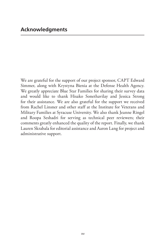We are grateful for the support of our project sponsor, CAPT Edward Simmer, along with Krystyna Bienia at the Defense Health Agency. We greatly appreciate Blue Star Families for sharing their survey data and would like to thank Hisako Sonethavilay and Jessica Strong for their assistance. We are also grateful for the support we received from Rachel Linsner and other staff at the Institute for Veterans and Military Families at Syracuse University. We also thank Jeanne Ringel and Roopa Seshadri for serving as technical peer reviewers; their comments greatly enhanced the quality of the report. Finally, we thank Lauren Skrabala for editorial assistance and Aaron Lang for project and administrative support.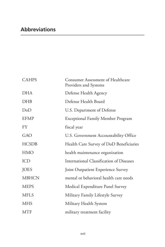| <b>CAHPS</b> | <b>Consumer Assessment of Healthcare</b><br>Providers and Systems |
|--------------|-------------------------------------------------------------------|
| <b>DHA</b>   | Defense Health Agency                                             |
| <b>DHB</b>   | Defense Health Board                                              |
| DoD          | U.S. Department of Defense                                        |
| <b>EFMP</b>  | <b>Exceptional Family Member Program</b>                          |
| <b>FY</b>    | fiscal year                                                       |
| <b>GAO</b>   | U.S. Government Accountability Office                             |
| <b>HCSDB</b> | Health Care Survey of DoD Beneficiaries                           |
| <b>HMO</b>   | health maintenance organization                                   |
| <b>ICD</b>   | International Classification of Diseases                          |
| <b>JOES</b>  | Joint Outpatient Experience Survey                                |
| <b>MBHCN</b> | mental or behavioral health care needs                            |
| <b>MEPS</b>  | Medical Expenditure Panel Survey                                  |
| <b>MFLS</b>  | Military Family Lifestyle Survey                                  |
| <b>MHS</b>   | Military Health System                                            |
| <b>MTF</b>   | military treatment facility                                       |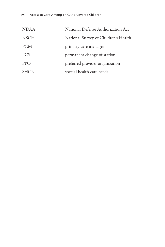| <b>NDAA</b> | National Defense Authorization Act   |
|-------------|--------------------------------------|
| <b>NSCH</b> | National Survey of Children's Health |
| <b>PCM</b>  | primary care manager                 |
| <b>PCS</b>  | permanent change of station          |
| <b>PPO</b>  | preferred provider organization      |
| <b>SHCN</b> | special health care needs            |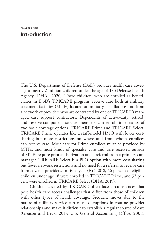The U.S. Department of Defense (DoD) provides health care coverage to nearly 2 million children under the age of 18 (Defense Health Agency [DHA], 2020). These children, who are enrolled as beneficiaries in DoD's TRICARE program, receive care both at military treatment facilities (MTFs) located on military installations and from a network of providers who are contracted by one of TRICARE's managed care support contractors. Dependents of active-duty, retired, and reserve-component service members can enroll in variants of two basic coverage options, TRICARE Prime and TRICARE Select. TRICARE Prime operates like a staff-model HMO with lower costsharing but more restrictions on where and from whom enrollees can receive care. Most care for Prime enrollees must be provided by MTFs, and most kinds of specialty care and care received outside of MTFs require prior authorization and a referral from a primary care manager. TRICARE Select is a PPO option with more cost-sharing but fewer network restrictions and no need for a referral to receive care from covered providers. In fiscal year (FY) 2018, 66 percent of eligible children under age 18 were enrolled in TRICARE Prime, and 32 percent were enrolled in TRICARE Select (DHA, 2019).

Children covered by TRICARE often face circumstances that pose health care access challenges that differ from those of children with other types of health coverage. Frequent moves due to the nature of military service can cause disruptions in routine provider relationships and make it difficult to establish a regular source of care (Gleason and Beck, 2017; U.S. General Accounting Office, 2001).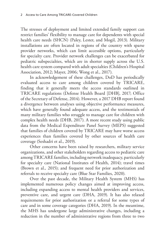The stresses of deployment and limited extended family support can restrict families' flexibility to manage care for dependents with special health care needs (SHCN) (Paley, Lester, and Mogil, 2013). Military installations are often located in regions of the country with sparse provider networks, which can limit accessible options, particularly for specialty care. Provider network challenges can be exacerbated for pediatric subspecialties, which are in shorter supply across the U.S. health care system compared with adult specialties (Children's Hospital Association, 2012; Mayer, 2006; Wong et al., 2017).

In acknowledgement of these challenges, DoD has periodically evaluated access to care among children covered by TRICARE, finding that it generally meets the access standards outlined in TRICARE regulations (Defense Health Board [DHB], 2017; Office of the Secretary of Defense, 2014). However, a 2017 DHB report found a divergence between analyses using objective performance measures, which have generally found adequate access, and the testimonials of many military families who struggle to manage care for children with complex health needs (DHB, 2017). A more recent study using public data from the Medical Expenditure Panel Survey (MEPS) suggested that families of children covered by TRICARE may have worse access experiences than families covered by other sources of health care coverage (Seshadri et al., 2019).

Other concerns have been raised by researchers, military service organizations, and other stakeholders regarding access to pediatric care among TRICARE families, including network inadequacy, particularly for specialty care (National Institutes of Health, 2014); travel times (Brown et al., 2015); and frequent need for prior authorization and referrals to receive specialty care (Blue Star Families, 2020).

Over the past decade, the Military Health System (MHS) has implemented numerous policy changes aimed at improving access, including expanding access to mental health providers and services, preventive care, and urgent care (DHA, 2019). It has also relaxed requirements for prior authorization or a referral for some types of care and in some coverage categories (DHA, 2019). In the meantime, the MHS has undergone large administrative changes, including a reduction in the number of administrative regions from three to two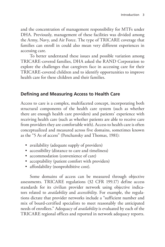and the concentration of management responsibility for MTFs under DHA. Previously, management of these facilities was divided among the Army, Navy, and Air Force. The type of TRICARE coverage that families can enroll in could also mean very different experiences in accessing care.

To better understand these issues and possible variation among TRICARE-covered families, DHA asked the RAND Corporation to explore the challenges that caregivers face in accessing care for their TRICARE-covered children and to identify opportunities to improve health care for these children and their families.

# **Defining and Measuring Access to Health Care**

Access to care is a complex, multifaceted concept, incorporating both structural components of the health care system (such as whether there are enough health care providers) and patients' experience with receiving health care (such as whether patients are able to receive care from providers they are comfortable with). Access to health care is often conceptualized and measured across five domains, sometimes known as the "5 As of access" (Penchansky and Thomas, 1981):

- availability (adequate supply of providers)
- accessibility (distance to care and timeliness)
- accommodation (convenience of care)
- acceptability (patient comfort with providers)
- affordability (nonprohibitive cost).

Some domains of access can be measured through objective assessments. TRICARE regulations (32 CFR 199.17) define access standards for its civilian provider network using objective indicators related to *availability* and *accessibility*. For example, the regulations dictate that provider networks include a "sufficient number and mix of board-certified specialists to meet reasonably the anticipated needs of enrollees." Adequacy of *availability* is evaluated by each of the TRICARE regional offices and reported in network adequacy reports.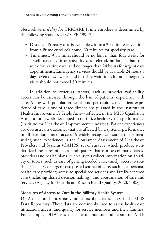Network *accessibility* for TRICARE Prime enrollees is determined by the following standards (32 CFR 199.17):

- Distance: Primary care is available within a 30-minute travel time from a Prime enrollee's home, 60 minutes for specialty care.
- Timeliness: Wait times should be no longer than four weeks for a well-patient visit or specialty care referral, no longer than one week for routine care, and no longer than 24 hours for urgent care appointments. Emergency services should be available 24 hours a day, seven days a week, and in-office wait times for nonemergency visits should not exceed 30 minutes.

In addition to structural factors, such as provider availability, access can be assessed through the lens of patients' experience with care. Along with population health and per capita cost, patient experience of care is one of three dimensions pursued in the Institute of Health Improvement's Triple Aim—reflected in the MHS Quadruple Aim—a framework developed to optimize health system performance (Institute for Healthcare Improvement, undated). Patient experiences are downstream outcomes that are affected by a system's performance in all five domains of access. A widely recognized standard for measuring such experiences is the Consumer Assessment of Healthcare Providers and Systems (CAHPS) set of surveys, which produce standardized measures of access and quality that can be compared across providers and health plans. Such surveys collect information on a variety of topics, such as ease of getting needed care; timely access to routine, specialty, or urgent care; usual source of care, such as a personal health care provider; access to specialized services and family-centered care (including shared decisionmaking); and coordination of care and services (Agency for Healthcare Research and Quality, 2020, 2008).

# **Measures of Access to Care in the Military Health System**

DHA tracks and stores many indicators of pediatric access in the MHS Data Repository. These data are commonly used to assess health care utilization, access, and quality for service members and their families. For example, DHA uses the data to monitor and report on MTF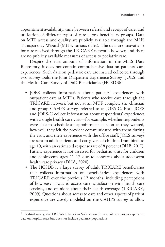appointment availability, time between referral and receipt of care, and utilization of different types of care across beneficiary groups. Data on MTF access and quality are publicly available through the MHS Transparency Wizard (MHS, various dates). The data are unavailable for care received through the TRICARE network, however, and there are no publicly available measures of access to pediatric care.

Despite the vast amount of information in the MHS Data Repository, it does not contain comprehensive data on patients' care experiences. Such data on pediatric care are instead collected through two survey tools: the Joint Outpatient Experience Survey (JOES) and the Health Care Survey of DoD Beneficiaries (HCSDB):<sup>1</sup>

- JOES collects information about patients' experiences with outpatient care at MTFs. Patients who receive care through the TRICARE network but not at an MTF complete the clinician and group CAHPS survey, referred to as JOES-C. Both JOES and JOES-C collect information about respondents' experiences with a single health care visit—for example, whether respondents were able to schedule an appointment as soon as they wanted, how well they felt the provider communicated with them during the visit, and their experience with the office staff. JOES surveys are sent to adult patients and caregivers of children from birth to age 10, with an estimated response rate of 8 percent (DHB, 2017). Patient experience is not assessed for pediatric visits for children and adolescents ages 11–17 due to concerns about adolescent health care privacy (DHA, 2020).
- The HCSDB is a large survey of adult TRICARE beneficiaries that collects information on beneficiaries' experiences with TRICARE over the previous 12 months, including perceptions of how easy it was to access care, satisfaction with health care services, and opinions about their health coverage (TRICARE, 2009). Questions about access to care and other aspects of patient experience are closely modeled on the CAHPS survey to allow

<sup>1</sup> A third survey, the TRICARE Inpatient Satisfaction Survey, collects patient experience data on hospital stays but does not include pediatric populations.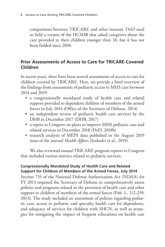comparisons between TRICARE and other insurers. DoD used to field a version of the HCSDB that asked caregivers about the care provided to their children younger than 18, but it has not been fielded since 2010.

# **Prior Assessments of Access to Care for TRICARE-Covered Children**

In recent years, there have been several assessments of access to care for children covered by TRICARE. Here, we provide a brief overview of the findings from assessments of pediatric access to MHS care between 2014 and 2019:

- a congressionally mandated study of health care and related support provided to dependent children of members of the armed forces in July 2014 (Office of the Secretary of Defense, 2014)
- an independent review of pediatric health care services by the DHB in December 2017 (DHB, 2017)
- a report to Congress on plans to improve MHS pediatric care and related services in December 2018 (DoD, 2018b)
- research analysis of MEPS data published in the August 2019 issue of the journal *Health Affairs* (Seshadri et al., 2019).

We also reviewed annual TRICARE program reports to Congress that included various metrics related to pediatric services.

# **Congressionally Mandated Study of Health Care and Related Support for Children of Members of the Armed Forces, July 2014**

Section 735 of the National Defense Authorization Act (NDAA) for FY 2013 required the Secretary of Defense to comprehensively assess policies and programs related to the provision of health care and other support to children of members of the armed forces (Pub. L. 112-239, 2013). The study included an assessment of policies regarding pediatric care, access to pediatric and specialty health care for dependents, and adequacy of services for children with SHCN, as well as strategies for mitigating the impact of frequent relocations on health care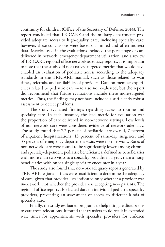continuity for children (Office of the Secretary of Defense, 2014). The report concluded that TRICARE and the military departments provided adequate access to high-quality care, including specialty care; however, these conclusions were based on limited and often indirect data. Metrics used in the evaluations included the percentage of care delivered in network, emergency department utilization, and a review of TRICARE regional office network adequacy reports. It is important to note that the study did not analyze targeted metrics that would have enabled an evaluation of pediatric access according to the adequacy standards in the TRICARE manual, such as those related to wait times, referrals, and availability of providers. Data on member experiences related to pediatric care were also not evaluated, but the report did recommend that future evaluations include these more-targeted metrics. Thus, the findings may not have included a sufficiently robust assessment to detect problems.

The study evaluated findings regarding access to routine and specialty care. In each instance, the lead metric for evaluation was the proportion of care delivered in non-network settings. Low levels of non-network care were considered evidence of network adequacy. The study found that 7.2 percent of pediatric care overall, 7 percent of inpatient hospitalizations, 13 percent of same-day surgeries, and 35 percent of emergency department visits were non-network. Rates of non-network care were found to be significantly lower among chronic and specialty-dependent pediatric beneficiaries, defined as beneficiaries with more than two visits to a specialty provider in a year, than among beneficiaries with only a single specialty encounter in a year.

The study also found that network adequacy reports generated by TRICARE regional offices were insufficient to determine the adequacy of care, given that provider lists indicated only whether a provider was in-network, not whether the provider was accepting new patients. The regional office reports also lacked data on individual pediatric specialty providers, preventing an assessment of access to different kinds of specialty care.

Finally, the study evaluated programs to help mitigate disruptions to care from relocations. It found that transfers could result in extended wait times for appointments with specialty providers for children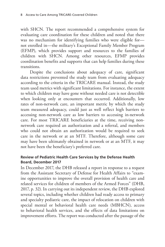with SHCN. The report recommended a comprehensive system for evaluating care coordination for these children and noted that there was no mechanism for identifying families who were eligible for not enrolled in—the military's Exceptional Family Member Program (EFMP), which provides support and resources to the families of children with SHCN. Among other resources, EFMP provides coordination benefits and supports that can help families during these transitions.

Despite the conclusions about adequacy of care, significant data restrictions prevented the study team from evaluating adequacy according to the criteria in the TRICARE manual. Instead, the study team used metrics with significant limitations. For instance, the extent to which children may have gone without needed care is not detectible when looking only at encounters that occurred. Additionally, low rates of non-network care, an important metric by which the study team measured adequacy, could just as well reflect high barriers to accessing non-network care as low barriers to accessing in-network care. For most TRICARE beneficiaries at the time, receiving nonnetwork care required an authorization and a referral, and members who could not obtain an authorization would be required to seek care in the network or at an MTF. Therefore, although some care may have been ultimately obtained in network or at an MTF, it may not have been the beneficiary's preferred care.

## **Review of Pediatric Health Care Services by the Defense Health Board, December 2017**

In December 2017, the DHB released a report in response to a request from the Assistant Secretary of Defense for Health Affairs to "examine opportunities to improve the overall provision of health care and related services for children of members of the Armed Forces" (DHB, 2017, p. 32). In carrying out its independent review, the DHB explored several topics, including whether children had ready access to primary and specialty pediatric care, the impact of relocation on children with special mental or behavioral health care needs (MBHCN), access to behavioral health services, and the effects of data limitations on improvement efforts. The report was conducted after the passage of the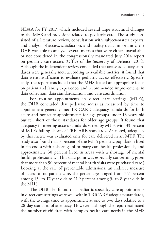NDAA for FY 2017, which included several large structural changes to the MHS and provisions related to pediatric care. The study consisted of a literature review, consultation with subject-matter experts, and analysis of access, satisfaction, and quality data. Importantly, the DHB was able to analyze several metrics that were either unavailable or not considered in the congressionally mandated July 2014 report on pediatric care access (Office of the Secretary of Defense, 2014). Although the independent review concluded that access adequacy standards were generally met, according to available metrics, it found that data were insufficient to evaluate pediatric access effectively. Specifically, the report concluded that the MHS lacked an appropriate focus on patient and family experiences and recommended improvements in data collection, data standardization, and care coordination.

For routine appointments in direct care settings (MTFs), the DHB concluded that pediatric access as measured by time to appointment generally met TRICARE adequacy standards for both acute and nonacute appointments for age groups under 13 years old but fell short of those standards for older age groups. It found that adequacy in meeting access standards varied by MTF, with 33 percent of MTFs falling short of TRICARE standards. As noted, adequacy by this metric was evaluated only for care delivered in an MTF. The study also found that 7 percent of the MHS pediatric population lived in zip codes with a shortage of primary care health professionals, and approximately 30 percent lived in areas with a shortage of mental health professionals. (This data point was especially concerning, given that more than 90 percent of mental health visits were purchased care.) Looking at the rate of preventable admissions, an indirect measure of access to outpatient care, the percentage ranged from 3.7 percent among 13- to 17-year-olds to 11.9 percent among 5- to 8-year-olds in the MHS.

The DHB also found that pediatric specialty care appointments in direct care settings were well within TRICARE adequacy standards, with the average time to appointment at one to two days relative to a 28-day standard of adequacy. However, although the report estimated the number of children with complex health care needs in the MHS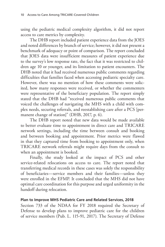using the pediatric medical complexity algorithm, it did not report access to care metrics by complexity.

The DHB report included patient experience data from the JOES and noted differences by branch of service; however, it did not present a benchmark of adequacy or point of comparison. The report concluded that JOES data were insufficient measures of patient experience due to the survey's low response rate, the fact that it was restricted to children age 10 or younger, and its limitation to patient encounters. The DHB noted that it had received numerous public comments regarding difficulties that families faced when accessing pediatric specialty care. However, there was no mention of how these comments were solicited, how many responses were received, or whether the commenters were representative of the beneficiary population. The report simply stated that the DHB had "received numerous public comments that voiced the challenges of navigating the MHS with a child with complex needs, securing referrals, and reestablishing care after a PCS [permanent change of station]" (DHB, 2017, p. 6).

The DHB report noted that new data would be made available to better evaluate time to appointment in direct care and TRICARE network settings, including the time between consult and booking and between booking and appointment. Prior metrics were flawed in that they captured time from booking to appointment only, when TRICARE network referrals might require days from the consult to when an appointment is booked.

Finally, the study looked at the impact of PCS and other service-related relocations on access to care. The report noted that transferring medical records in these cases was solely the responsibility of beneficiaries—service members and their families—unless they were enrolled in the EFMP. It concluded that the MHS did not have optimal care coordination for this purpose and urged uniformity in the handoff during relocation.

#### **Plan to Improve MHS Pediatric Care and Related Services, 2018**

Section 733 of the NDAA for FY 2018 required the Secretary of Defense to develop plans to improve pediatric care for the children of service members (Pub. L. 115-91, 2017). The Secretary of Defense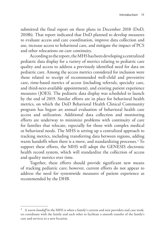submitted the final report on these plans in December 2018 (DoD, 2018b). That report indicated that DoD planned to develop measures to evaluate access and care coordination, improve data collection and use, increase access to behavioral care, and mitigate the impact of PCS and other relocations on care continuity.

According to the report, the MHS has been developing a centralized pediatric data display for a variety of metrics relating to pediatric care quality and access to address a previously identified need for data on pediatric care. Among the access metrics considered for inclusion were those related to receipt of recommended well-child and preventive care, time-based metrics of access (including referrals, specialty care, and third-next-available appointment), and existing patient experience measures (JOES). The pediatric data display was scheduled to launch by the end of 2019. Similar efforts are in place for behavioral health metrics, on which the DoD Behavioral Health Clinical Community program has begun an annual evaluation of behavioral health care access and utilization. Additional data collection and monitoring efforts are underway to minimize problems with continuity of care for families that relocate, especially for those with complex medical or behavioral needs. The MHS is setting up a centralized approach to tracking metrics, including transferring data between regions, adding warm handoffs when there is a move, and standardizing processes.2 To support these efforts, the MHS will adopt the GENESIS electronic health record system, which will standardize the collection of access and quality metrics over time.

Together, these efforts should provide significant new means of tracking pediatric care; however, current efforts do not appear to address the need for systemwide measures of patient experience as recommended by the DHB.

<sup>2</sup> A *warm handoff* in the MHS is when a family's current and new providers and case workers coordinate with the family and each other to facilitate a smooth transfer of the family's care and services to a new location.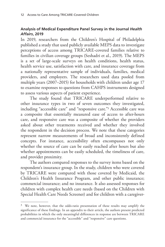# **Analysis of Medical Expenditure Panel Survey in the Journal** *Health Affairs***, 2019**

In 2019, researchers from the Children's Hospital of Philadelphia published a study that used publicly available MEPS data to investigate perceptions of access among TRICARE-covered families relative to families in civilian coverage groups (Seshadri et al., 2019). The MEPS is a set of large-scale surveys on health conditions, health status, health service use, satisfaction with care, and insurance coverage from a nationally representative sample of individuals, families, medical providers, and employers. The researchers used data pooled from multiple years (2007–2015) for households with children under age 17 to examine responses to questions from CAHPS instruments designed to assess various aspects of patient experience.

The study found that TRICARE underperformed relative to other insurance types in two of seven outcomes they investigated, including "accessible care" and "responsive care."3 Accessible care was a composite that essentially measured ease of access to after-hours care, and responsive care was a composite of whether the providers asked about other treatments received and whether they involved the respondent in the decision process. We note that these categories represent narrow measurements of broad and inconsistently defined concepts. For instance, accessibility often encompasses not only whether the source of care can be easily reached after hours but also whether appointments can be easily scheduled, the timeliness of care, and provider proximity.

The authors compared responses to the survey items based on the respondent's insurance group. In the study, children who were covered by TRICARE were compared with those covered by Medicaid, the Children's Health Insurance Program, and other public insurance; commercial insurance; and no insurance. It also assessed responses for children with complex health care needs (based on the Children with Special Health Care Needs Screener) and for children with a caregiver-

<sup>&</sup>lt;sup>3</sup> We note, however, that the odds-ratio presentation of these results may amplify the significance of these findings. In an appendix to their article, the authors present predicted probabilities in which the only meaningful differences in response are between TRICARE and commercial insurance for the "accessible" and "responsive" care questions.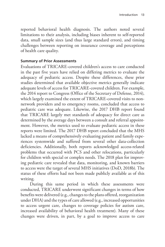reported behavioral health diagnosis. The authors noted several limitations to their analysis, including biases inherent to self-reported data, small sample sizes (and thus large standard errors), and timing challenges between reporting on insurance coverage and perceptions of health care quality.

## **Summary of Prior Assessments**

Evaluations of TRICARE-covered children's access to care conducted in the past five years have relied on differing metrics to evaluate the adequacy of pediatric access. Despite these differences, these prior studies determined that available objective metrics generally indicate adequate levels of access for TRICARE-covered children. For example, the 2014 report to Congress (Office of the Secretary of Defense, 2014), which largely examined the extent of TRICARE-covered visits to nonnetwork providers and to emergency rooms, concluded that access to pediatric care was adequate. Likewise, the 2017 DHB report found that TRICARE largely met standards of adequacy for direct care as determined by the average days between a consult and referral appointment. However, the metrics used to evaluate pediatric access in these reports were limited. The 2017 DHB report concluded that the MHS lacked a means of comprehensively evaluating patient and family experiences systemwide and suffered from several other data-collection deficiencies. Additionally, both reports acknowledged access-related problems that occurred with PCS and other relocations, particularly for children with special or complex needs. The 2018 plan for improving pediatric care revealed that data, monitoring, and known barriers to access were the target of several MHS initiatives (DoD, 2018b). The status of these efforts had not been made publicly available as of this writing.

During this same period in which these assessments were conducted, TRICARE underwent significant changes in terms of how benefits were delivered (e.g., changes to the plans offered, reorganization under DHA) and the types of care allowed (e.g., increased opportunities to access urgent care, changes to coverage policies for autism care, increased availability of behavioral health treatment). Many of these changes were driven, in part, by a goal to improve access to care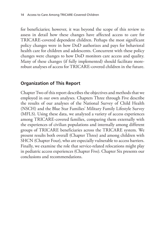for beneficiaries; however, it was beyond the scope of this review to assess in detail how these changes have affected access to care for TRICARE-covered dependent children. Perhaps the most significant policy changes were in how DoD authorizes and pays for behavioral health care for children and adolescents. Concurrent with these policy changes were changes to how DoD monitors care access and quality. Many of these changes (if fully implemented) should facilitate morerobust analyses of access for TRICARE-covered children in the future.

# **Organization of This Report**

Chapter Two of this report describes the objectives and methods that we employed in our own analyses. Chapters Three through Five describe the results of our analyses of the National Survey of Child Health (NSCH) and the Blue Star Families' Military Family Lifestyle Survey (MFLS). Using these data, we analyzed a variety of access experiences among TRICARE-covered families, comparing them externally with the experiences of civilian populations and internally among different groups of TRICARE beneficiaries across the TRICARE system. We present results both overall (Chapter Three) and among children with SHCN (Chapter Four), who are especially vulnerable to access barriers. Finally, we examine the role that service-related relocations might play in pediatric access experiences (Chapter Five). Chapter Six presents our conclusions and recommendations.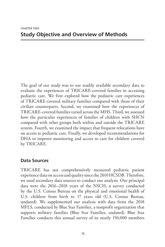The goal of our study was to use readily available secondary data to evaluate the experiences of TRICARE-covered families in accessing pediatric care. We first explored how the pediatric care experiences of TRICARE-covered military families compared with those of their civilian counterparts. Second, we examined how the experiences of TRICARE-covered families varied across the MHS. Third, we assessed how the particular experiences of families of children with SHCN compared with other groups both within and outside the TRICARE system. Fourth, we examined the impact that frequent relocations have on access to pediatric care. Finally, we developed recommendations for DHA to improve monitoring and access to care for children covered by TRICARE.

# **Data Sources**

TRICARE has not comprehensively measured pediatric patient experience data on access and quality since the 2010 HCSDB. Therefore, we used secondary data sources to conduct our analysis. Our principal data were the 2016–2018 years of the NSCH, a survey conducted by the U.S. Census Bureau on the physical and emotional health of U.S. children from birth to 17 years old (U.S. Census Bureau, undated). We supplemented our analysis with data from the 2018 MFLS, conducted by Blue Star Families, a nonprofit organization that supports military families (Blue Star Families, undated). Blue Star Families conducts this annual survey of its nearly 150,000 members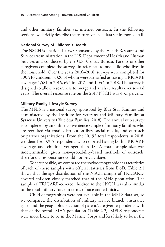and other military families via internet outreach. In the following sections, we briefly describe the features of each data set in more detail.

## **National Survey of Children's Health**

The NSCH is a national survey sponsored by the Health Resources and Services Administration in the U.S. Department of Health and Human Services and conducted by the U.S. Census Bureau. Parents or other caregivers complete the surveys in reference to one child who lives in the household. Over the years 2016–2018, surveys were completed for 100,916 children, 3,320 of whom were identified as having TRICARE coverage: 1,581 in 2016, 695 in 2017, and 1,044 in 2018. The survey is designed to allow researchers to merge and analyze results over several years. The overall response rate on the 2018 NSCH was 43.1 percent.

# **Military Family Lifestyle Survey**

The MFLS is a national survey sponsored by Blue Star Families and administered by the Institute for Veterans and Military Families at Syracuse University (Blue Star Families, 2018). The annual web survey is completed by an online convenience sample of military families who are recruited via email distribution lists, social media, and outreach by partner organizations. From the 10,192 total respondents in 2018, we identified 3,915 respondents who reported having both TRICARE coverage and children younger than 18. A total sample size was indeterminable, given non–probability-based methods of outreach; therefore, a response rate could not be calculated.

Where possible, we compared the sociodemographic characteristics of each of these samples with official statistics from DoD. Table 2.1 shows that the age distribution of the NSCH sample of TRICAREcovered children closely matched that of the MHS population. The sample of TRICARE-covered children in the NSCH was also similar to the total military force in terms of race and ethnicity.

Child demographics were not available in the MFLS data set, so we compared the distribution of military service branch, insurance type, and the geographic location of parent/caregiver respondents with that of the overall MHS population (Table 2.2). MFLS respondents were more likely to be in the Marine Corps and less likely to be in the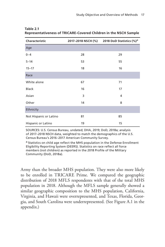| <b>Characteristic</b>  | 2017-2018 NSCH (%) | 2018 DoD Statistics (%) <sup>a</sup> |
|------------------------|--------------------|--------------------------------------|
| Age                    |                    |                                      |
| $0 - 4$                | 28                 | 29                                   |
| $5 - 14$               | 53                 | 55                                   |
| $15 - 17$              | 18                 | 16                                   |
| Race                   |                    |                                      |
| White alone            | 67                 | 71                                   |
| <b>Black</b>           | 16                 | 17                                   |
| Asian                  | 3                  | 4                                    |
| Other                  | 14                 | 8                                    |
| Ethnicity              |                    |                                      |
| Not Hispanic or Latino | 81                 | 85                                   |
| Hispanic or Latino     | 19                 | 15                                   |

| Table 2.1                                                         |  |
|-------------------------------------------------------------------|--|
| Representativeness of TRICARE-Covered Children in the NSCH Sample |  |

SOURCES: U.S. Census Bureau, undated; DHA, 2019; DoD, 2018a; analysis of 2017–2018 NSCH data, weighted to match the demographics of the U.S. Census Bureau's 2016–2017 American Community Survey.

a Statistics on child age reflect the MHS population in the Defense Enrollment Eligibility Reporting System (DEERS). Statistics on race reflect all force members (not children) as reported in the 2018 Profile of the Military Community (DoD, 2018a).

Army than the broader MHS population. They were also more likely to be enrolled in TRICARE Prime. We compared the geographic distribution of 2018 MFLS respondents with that of the total MHS population in 2018. Although the MFLS sample generally showed a similar geographic composition to the MHS population, California, Virginia, and Hawaii were overrepresented, and Texas, Florida, Georgia, and South Carolina were underrepresented. (See Figure A.1 in the appendix.)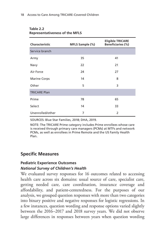| <b>Characteristic</b> | MFLS Sample (%) | <b>Eligible TRICARE</b><br><b>Beneficiaries (%)</b> |
|-----------------------|-----------------|-----------------------------------------------------|
| Service branch        |                 |                                                     |
| Army                  | 35              | 41                                                  |
| Navy                  | 22              | 21                                                  |
| Air Force             | 24              | 27                                                  |
| <b>Marine Corps</b>   | 14              | 8                                                   |
| Other                 | 5               | 3                                                   |
| <b>TRICARE Plan</b>   |                 |                                                     |
| Prime                 | 78              | 65                                                  |
| Select                | 14              | 33                                                  |
| Unenrolled/other      | 7               | 2                                                   |

#### **Table 2.2 Representativeness of the MFLS**

SOURCES: Blue Star Families, 2018; DHA, 2019.

NOTE: The TRICARE Prime category includes Prime enrollees whose care is received through primary care managers (PCMs) at MTFs and network PCMs, as well as enrollees in Prime Remote and the US Family Health Plan.

# **Specific Measures**

## **Pediatric Experience Outcomes** *National Survey of Children's Health*

We evaluated survey responses for 16 outcomes related to accessing health care across six domains: usual source of care, specialist care, getting needed care, care coordination, insurance coverage and affordability, and patient-centeredness. For the purposes of our analysis, we grouped question responses with more than two categories into binary positive and negative responses for logistic regressions. In a few instances, question wording and response options varied slightly between the 2016–2017 and 2018 survey years. We did not observe large differences in responses between years when question wording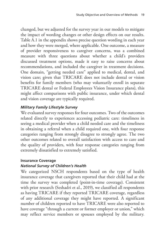changed, but we adjusted for the survey year in our models to mitigate the impact of wording changes or other design effects on our results. Table A.1 in the appendix shows precise question wording in each year and how they were merged, where applicable. One outcome, a measure of provider responsiveness to caregiver concerns, was a combined measure with three questions about whether a child's providers discussed treatment options, made it easy to raise concerns about recommendations, and included the caregiver in treatment decisions. One domain, "getting needed care" applied to medical, dental, and vision care; given that TRICARE does not include dental or vision benefits for family members (who may voluntarily enroll in separate TRICARE dental or Federal Employees Vision Insurance plans), this might affect comparisons with public insurance, under which dental and vision coverage are typically required.

## *Military Family Lifestyle Survey*

We evaluated survey responses for four outcomes. Two of the outcomes related directly to experiences accessing pediatric care: timeliness in seeing a medical provider when a child needed care and the timeliness in obtaining a referral when a child required one, with four response categories ranging from strongly disagree to strongly agree. The two other outcomes related to overall satisfaction with access to care and the quality of providers, with four response categories ranging from extremely dissatisfied to extremely satisfied.

## **Insurance Coverage**

## *National Survey of Children's Health*

We categorized NSCH respondents based on the type of health insurance coverage that caregivers reported that their child had at the time the survey was completed (point-in-time coverage). Consistent with prior research (Seshadri et al., 2019), we classified all respondents as having TRICARE if they reported TRICARE coverage, regardless of any additional coverage they might have reported. A significant number of children reported to have TRICARE were also reported to have coverage "through a current or former employer or union," which may reflect service members or spouses employed by the military.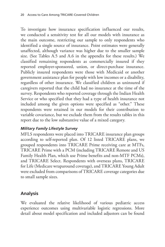To investigate how insurance specification influenced our results, we conducted a sensitivity test for all our models with insurance as the main outcome, restricting our sample to only respondents who identified a single source of insurance. Point estimates were generally unaffected, although variance was higher due to the smaller sample size. (See Tables A.5 and A.6 in the appendix for these results.) We classified remaining respondents as commercially insured if they reported employer-sponsored, union, or direct-purchase insurance. Publicly insured respondents were those with Medicaid or another government assistance plan for people with low incomes or a disability, regardless of other insurance. We classified children as uninsured if caregivers reported that the child had no insurance at the time of the survey. Respondents who reported coverage through the Indian Health Service or who specified that they had a type of health insurance not included among the given options were specified as "other." These respondents were retained in our models for their contribution to variable covariance, but we exclude them from the results tables in this report due to the low substantive value of a mixed category.

# *Military Family Lifestyle Survey*

MFLS respondents were placed into TRICARE insurance plan groups according to self-reported plan. Of 12 listed TRICARE plans, we grouped respondents into TRICARE Prime receiving care at MTFs, TRICARE Prime with a PCM (including TRICARE Remote and US Family Health Plan, which use Prime benefits and non-MTF PCMs), and TRICARE Select. Respondents with overseas plans, TRICARE for Life (Medicare wraparound coverage), and TRICARE Young Adult were excluded from comparisons of TRICARE coverage categories due to small sample sizes.

# **Analysis**

We evaluated the relative likelihood of various pediatric access experience outcomes using multivariable logistic regressions. More detail about model specification and included adjustors can be found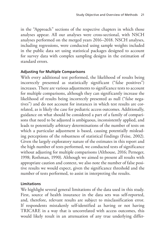in the "Approach" sections of the respective chapters in which those analyses appear. All our analyses were cross-sectional, with NSCH analyses performed on the merged years 2016–2018. NSCH analyses, including regressions, were conducted using sample weights included in the public data set using statistical packages designed to account for survey data with complex sampling designs in the estimation of standard errors.

## **Adjusting for Multiple Comparisons**

With every additional test performed, the likelihood of results being incorrectly presented as statistically significant ("false positives") increases. There are various adjustments to significance tests to account for multiple comparisons, although they can significantly increase the likelihood of results being incorrectly presented as null ("false negatives") and do not account for instances in which test results are correlated, as is likely the case for pediatric access outcomes. Additionally, guidance on what should be considered a part of a family of comparisons that need to be adjusted is ambiguous, inconsistently applied, and leads to potentially arbitrary determinations of the number of tests on which a particular adjustment is based, causing potentially misleading perceptions of the robustness of statistical findings (Feise, 2002). Given the largely exploratory nature of the estimates in this report and the high number of tests performed, we conducted tests of significance without adjusting for multiple comparisons (Althouse, 2016; Perneger, 1998; Rothman, 1990). Although we aimed to present all results with appropriate caution and context, we also note the number of false positive results we would expect, given the significance threshold and the number of tests performed, to assist in interpreting the results.

## **Limitations**

We highlight several general limitations of the data used in this study. First, source of health insurance in the data sets was self-reported, and, therefore, relevant results are subject to misclassification error. If respondents mistakenly self-identified as having or not having TRICARE in a way that is uncorrelated with access outcomes, this would likely result in an attenuation of any true underlying differ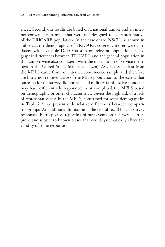ences. Second, our results are based on a national sample and an internet convenience sample that were not designed to be representative of the TRICARE population. In the case of the NSCH, as shown in Table 2.1, the demographics of TRICARE-covered children were consistent with available DoD statistics on relevant populations. Geographic differences between TRICARE and the general population in this sample were also consistent with the distribution of service members in the United States (data not shown). As discussed, data from the MFLS came from an internet convenience sample and therefore are likely not representative of the MHS population to the extent that outreach for the survey did not reach all military families. Respondents may have differentially responded to or completed the MFLS based on demographic or other characteristics. Given the high risk of a lack of representativeness in the MFLS, confirmed for some demographics in Table 2.2, we present only relative differences between comparison groups. An additional limitation is the risk of recall bias in survey responses. Retrospective reporting of past events on a survey is errorprone and subject to known biases that could systematically affect the validity of some responses.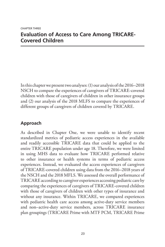# **Evaluation of Access to Care Among TRICARE-Covered Children**

In this chapter we present two analyses: (1) our analysis of the 2016–2018 NSCH to compare the experiences of caregivers of TRICARE-covered children with those of caregivers of children in other insurance groups and (2) our analysis of the 2018 MLFS to compare the experiences of different groups of caregivers of children covered by TRICARE.

# **Approach**

As described in Chapter One, we were unable to identify recent standardized metrics of pediatric access experiences in the available and readily accessible TRICARE data that could be applied to the entire TRICARE population under age 18. Therefore, we were limited in using MHS data to evaluate how TRICARE performed relative to other insurance or health systems in terms of pediatric access experiences. Instead, we evaluated the access experiences of caregivers of TRICARE-covered children using data from the 2016–2018 years of the NSCH and the 2018 MFLS. We assessed the overall performance of TRICARE according to caregiver experiences accessing pediatric care by comparing the experiences of caregivers of TRICARE-covered children with those of caregivers of children with other types of insurance and without any insurance. Within TRICARE, we compared experiences with pediatric health care access among active-duty service members and non–active-duty service members, across TRICARE insurance plan groupings (TRICARE Prime with MTF PCM, TRICARE Prime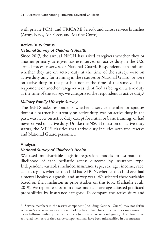with private PCM, and TRICARE Select), and across service branches (Army, Navy, Air Force, and Marine Corps).

## **Active-Duty Status**

## *National Survey of Children's Health*

Since 2017, the annual NSCH has asked caregivers whether they or another primary caregiver has ever served on active duty in the U.S. armed forces, reserves, or National Guard. Respondents can indicate whether they are on active duty at the time of the survey, were on active duty only for training in the reserves or National Guard, or were on active duty in the past but not at the time of the survey. If the respondent or another caregiver was identified as being on active duty at the time of the survey, we categorized the respondent as active duty.<sup>1</sup>

## *Military Family Lifestyle Survey*

The MFLS asks respondents whether a service member or spouse/ domestic partner is currently on active duty, was on active duty in the past, was never on active duty except for initial or basic training, or had never served on active duty. Unlike the NSCH question on active-duty status, the MFLS clarifies that active duty includes activated reserve and National Guard personnel.

## **Analysis**

# *National Survey of Children's Health*

We used multivariable logistic regression models to estimate the likelihood of each pediatric access outcome by insurance type. Independent variables included insurance type, sex, age, income, race, census region, whether the child had SHCN, whether the child ever had a mental health diagnosis, and survey year. We selected these variables based on their inclusion in prior studies on this topic (Seshadri et al., 2019). We report results from these models as average adjusted predicted probabilities by insurance category. To compare the active-duty and

<sup>&</sup>lt;sup>1</sup> Service members in the reserve component (including National Guard) may not define *active duty* the same way as official DoD policy. This phrase is sometimes understood to mean full-time military service members (not reserve or national guard). Therefore, some activated members of the reserve component may have been misclassified in our measure.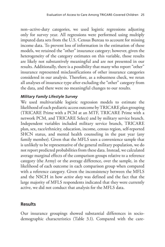non–active-duty categories, we used logistic regressions adjusting only for survey year. All regressions were performed using multiply imputed data sets from the U.S. Census Bureau to account for missing income data. To prevent loss of information in the estimation of these models, we retained the "other" insurance category; however, given the heterogeneity of the category estimates on this variable, those results are likely not substantively meaningful and are not presented in our results. Additionally, there is a possibility that many who report "other" insurance represented misclassifications of other insurance categories considered in our analysis. Therefore, as a robustness check, we reran all analyses of insurance type after excluding the "other" category from the data, and there were no meaningful changes to our results.

# *Military Family Lifestyle Survey*

We used multivariable logistic regression models to estimate the likelihood of each pediatric access outcome by TRICARE plan grouping (TRICARE Prime with a PCM at an MTF, TRICARE Prime with a network PCM, and TRICARE Select) and by military service branch. Independent variables included military service branch, TRICARE plan, sex, race/ethnicity, education, income, census region, self-reported SHCN status, and mental health counseling in the past year (any family member). Given that the MFLS uses a convenience sample that is unlikely to be representative of the general military population, we do not report predicted probabilities from these data. Instead, we calculated average marginal effects of the comparison groups relative to a reference category (the Army) or the average difference, over the sample, in the likelihood of each outcome in each comparison group when compared with a reference category. Given the inconsistency between the MFLS and the NSCH in how *active duty* was defined and the fact that the large majority of MFLS respondents indicated that they were currently active, we did not conduct that analysis for the MFLS data.

# **Results**

Our insurance groupings showed substantial differences in sociodemographic characteristics (Table 3.1). Compared with the care-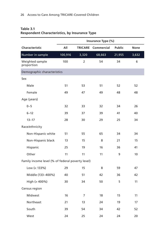# **Characteristic Insurance Type (%) All TRICARE Commercial Public None** Number in sample 100,916 3,320 68,663 21,955 3,632 Weighted sample proportion 100 2 54 34 6 Demographic characteristics Sex Male 51 53 51 52 52 Female 49 47 49 48 48 Age (years) 0–5 32 33 32 34 26 6–12 39 37 39 41 40 13–17 28 30 29 25 34 Race/ethnicity Non-Hispanic white 51 55 65 34 34 Non-Hispanic black 13 15 8 21 15 Hispanic 25 19 16 36 41 Other 11 11 11 9 10 Family income level (% of federal poverty level) Low (< 133%) 29 15 8 59 47 Middle (133–400%) 40 51 42 36 42 High (> 400%) 30 34 50 5 11 Census region Midwest 16 7 18 15 11 Northeast 21 13 24 19 17 South 39 54 34 42 52

West 24 25 24 24 20

#### **Table 3.1 Respondent Characteristics, by Insurance Type**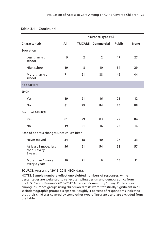|                                                  | Insurance Type (%) |                |            |               |             |
|--------------------------------------------------|--------------------|----------------|------------|---------------|-------------|
| <b>Characteristic</b>                            | All                | <b>TRICARE</b> | Commercial | <b>Public</b> | <b>None</b> |
| Education                                        |                    |                |            |               |             |
| Less than high<br>school                         | 9                  | $\overline{2}$ | 2          | 17            | 27          |
| High school                                      | 19                 | 8              | 10         | 34            | 29          |
| More than high<br>school                         | 71                 | 91             | 88         | 49            | 44          |
| <b>Risk factors</b>                              |                    |                |            |               |             |
| <b>SHCN</b>                                      |                    |                |            |               |             |
| Yes                                              | 19                 | 21             | 16         | 25            | 12          |
| <b>No</b>                                        | 81                 | 79             | 84         | 75            | 88          |
| Ever had MBHCN                                   |                    |                |            |               |             |
| Yes                                              | 81                 | 79             | 83         | 77            | 84          |
| No                                               | 19                 | 21             | 16         | 23            | 16          |
| Rate of address changes since child's birth      |                    |                |            |               |             |
| Never moved                                      | 34                 | 18             | 40         | 27            | 33          |
| At least 1 move, less<br>than 1 every<br>2 years | 56                 | 61             | 54         | 58            | 57          |
| More than 1 move<br>every 2 years                | 10                 | 21             | 6          | 15            | 11          |

#### **Table 3.1—Continued**

SOURCE: Analysis of 2016–2018 NSCH data.

NOTES: Sample numbers reflect unweighted numbers of responses, while percentages are weighted to reflect sampling design and demographics from the U.S. Census Bureau's 2015–2017 American Community Survey. Differences among insurance groups using chi-squared tests were statistically significant in all sociodemographic groups except sex. Roughly 4 percent of respondents indicated that their child was covered by some other type of insurance and are excluded from the table.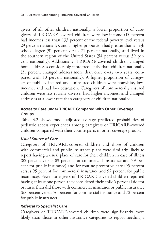givers of all other children nationally, a lower proportion of caregivers of TRICARE-covered children were low-income (15 percent had incomes less than 133 percent of the federal poverty level versus 29 percent nationally), and a higher proportion had greater than a high school degree (91 percent versus 71 percent nationally) and lived in the southern region of the United States (54 percent versus 39 percent nationally). Additionally, TRICARE-covered children changed home addresses considerably more frequently than children nationally (21 percent changed address more than once every two years, compared with 10 percent nationally). A higher proportion of caregivers of publicly insured and uninsured children were nonwhite, lowincome, and had low education. Caregivers of commercially insured children were less racially diverse, had higher incomes, and changed addresses at a lower rate than caregivers of children nationally.

# **Access to Care under TRICARE Compared with Other Coverage Groups**

Table 3.2 shows model-adjusted average predicted probabilities of pediatric access experiences among caregivers of TRICARE-covered children compared with their counterparts in other coverage groups.

# *Usual Source of Care*

Caregivers of TRICARE-covered children and those of children with commercial and public insurance plans were similarly likely to report having a usual place of care for their children in case of illness (82 percent versus 83 percent for commercial insurance and 79 percent for public insurance) and for routine preventive care (95 percent versus 95 percent for commercial insurance and 92 percent for public insurance). Fewer caregivers of TRICARE-covered children reported having at least one person they considered their child's personal doctor or nurse than did those with commercial insurance or public insurance (68 percent versus 76 percent for commercial insurance and 72 percent for public insurance).

# *Referral to Specialist Care*

Caregivers of TRICARE-covered children were significantly more likely than those in other insurance categories to report needing a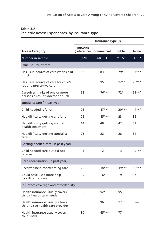|                                                                       | Insurance Type (%) |                        |               |             |
|-----------------------------------------------------------------------|--------------------|------------------------|---------------|-------------|
| <b>Access Category</b>                                                | <b>TRICARE</b>     | (reference) Commercial | <b>Public</b> | <b>None</b> |
| Number in sample                                                      | 3,320              | 68,663                 | 21,955        | 3,632       |
| Usual source of care                                                  |                    |                        |               |             |
| Has usual source of care when child<br>is sick                        | 82                 | 83                     | 79*           | $63***$     |
| Has usual source of care for child's<br>routine preventive care       | 95                 | 95                     | $92**$        | $75***$     |
| Caregiver thinks of one or more<br>persons as child's doctor or nurse | 68                 | $76***$                | $72*$         | 53***       |
| Specialist care (in past year)                                        |                    |                        |               |             |
| Child needed referral                                                 | 26                 | $17***$                | $20***$       | $14***$     |
| Had difficulty getting a referral                                     | 26                 | $15***$                | 23            | 36          |
| Had difficulty getting mental<br>health treatment                     | 44                 | 48                     | 42            | 52          |
| Had difficulty getting specialist<br>care                             | 28                 | 22                     | 28            | 34          |
| Getting needed care (in past year)                                    |                    |                        |               |             |
| Child needed care but did not<br>receive it                           | 3                  | 2                      | 3             | $10***$     |
| Care coordination (in past year)                                      |                    |                        |               |             |
| Received help coordinating care                                       | 26                 | $18***$                | $19***$       | $15***$     |
| Could have used more help<br>coordinating care                        | 9                  | $6*$                   | 9             | 7           |
| Insurance coverage and affordability                                  |                    |                        |               |             |
| Health insurance usually covers<br>child's health care needs          | 95                 | $92*$                  | 95            |             |
| Health insurance usually allows<br>child to see health care provider  | 96                 | 96                     | 97            |             |
| Health insurance usually covers<br>child's MBHCN                      | 80                 | $65***$                | 77            |             |

#### **Table 3.2 Pediatric Access Experiences, by Insurance Type**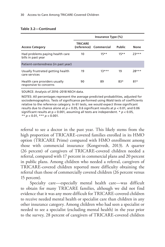#### **Table 3.2—Continued**

|                                                         | Insurance Type (%) |                        |               |             |
|---------------------------------------------------------|--------------------|------------------------|---------------|-------------|
| <b>Access Category</b>                                  | <b>TRICARE</b>     | (reference) Commercial | <b>Public</b> | <b>None</b> |
| Had problems paying health care<br>bills in past year   | 10                 | $15**$                 | $15**$        | $73***$     |
| Patient-centeredness (in past year)                     |                    |                        |               |             |
| Usually frustrated getting health<br>care services      | 19                 | $13***$                | 19            | 28***       |
| Health care providers usually<br>responsive to concerns | 90                 | 89                     | $83*$         | $81*$       |

SOURCE: Analysis of 2016–2018 NSCH data.

NOTES: All percentages represent the average predicted probabilities, adjusted for sociodemographics. Tests of significance performed using Wald tests of coefficients relative to the reference category. In 61 tests, we would expect three significant results due to chance alone at *p* < 0.05, 0.6 significant results at *p* < 0.01, and 0.06 significant results at p < 0.001, assuming all tests are independent. \* *p* < 0.05, \*\* *p* < 0.01, \*\*\* *p* < 0.001.

referral to see a doctor in the past year. This likely stems from the high proportion of TRICARE-covered families enrolled in its HMO option (TRICARE Prime) compared with HMO enrollment among those with commercial insurance (Kongstvedt, 2013). A quarter (26 percent) of caregivers of TRICARE-covered children needed a referral, compared with 17 percent in commercial plans and 20 percent in public plans. Among children who needed a referral, caregivers of TRICARE-covered children reported more difficulty obtaining the referral than those of commercially covered children (26 percent versus 15 percent).

Specialty care—especially mental health care—was difficult to obtain for many TRICARE families, although we did not find evidence that it was any more difficult for TRICARE-covered children to receive needed mental health or specialist care than children in any other insurance category. Among children who had seen a specialist or needed to see a specialist (excluding mental health) in the year prior to the survey, 28 percent of caregivers of TRICARE-covered children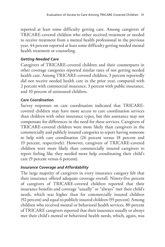reported at least some difficulty getting care. Among caregivers of TRICARE-covered children who either received treatment or needed to receive treatment from a mental health professional in the previous year, 44 percent reported at least some difficulty getting needed mental health treatment or counseling.

# *Getting Needed Care*

Caregivers of TRICARE-covered children and their counterparts in other coverage categories reported similar rates of not getting needed health care. Among TRICARE-covered children, 3 percent reportedly did not receive needed health care in the prior year, compared with 2 percent with commercial insurance, 3 percent with public insurance, and 10 percent of uninsured children.

# *Care Coordination*

Survey responses on care coordination indicated that TRICAREcovered children may have more access to care coordination services than children with other insurance types, but this assistance may not compensate for differences in the need for these services. Caregivers of TRICARE-covered children were more likely than caregivers in the commercially and publicly insured categories to report having someone to help with care coordination (26 percent versus 18 percent and 19 percent, respectively). However, caregivers of TRICARE-covered children were more likely than commercially insured caregivers to report feeling like they needed more help coordinating their child's care (9 percent versus 6 percent).

# *Insurance Coverage and Affordability*

The large majority of caregivers in every insurance category felt that their insurance offered adequate coverage overall. Ninety-five percent of caregivers of TRICARE-covered children reported that their insurance benefits and coverage "usually" or "always" met their child's needs, which was higher than for commercially insured children (92 percent) and equal to publicly insured children (95 percent). Among children who received mental or behavioral health services, 80 percent of TRICARE caregivers reported that their insurance usually or always met their child's mental or behavioral health needs, which, again, was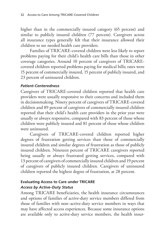higher than in the commercially insured category (65 percent) and similar to publicly insured children (77 percent). Caregivers across all insurance types generally felt that their insurance allowed their children to see needed health care providers.

Families of TRICARE-covered children were less likely to report problems paying for their child's health care bills than those in other coverage categories. Around 10 percent of caregivers of TRICAREcovered children reported problems paying for medical bills; rates were 15 percent of commercially insured, 15 percent of publicly insured, and 23 percent of uninsured children.

## *Patient-Centeredness*

Caregivers of TRICARE-covered children reported that health care providers were usually responsive to their concerns and included them in decisionmaking. Ninety percent of caregivers of TRICARE-covered children and 89 percent of caregivers of commercially insured children reported that their child's health care providers in the prior year were usually or always responsive, compared with 83 percent of those whose children were publicly insured and 81 percent of those whose children were uninsured.

Caregivers of TRICARE-covered children reported higher degrees of frustration getting services than those of commercially insured children and similar degrees of frustration as those of publicly insured children. Nineteen percent of TRICARE caregivers reported being usually or always frustrated getting services, compared with 13 percent of caregivers of commercially insured children and 19 percent of caregivers of publicly insured children. Caregivers of uninsured children reported the highest degree of frustration, at 28 percent.

# **Evaluating Access to Care under TRICARE** *Access by Active-Duty Status*

Among TRICARE beneficiaries, the health insurance circumstances and options of families of active-duty service members differed from those of families with non–active-duty service members in ways that may have affected access experiences. Because some insurance options are available only to active-duty service members, the health insur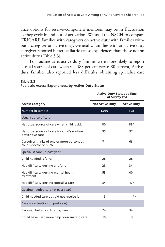ance options for reserve-component members may be in fluctuation as they cycle in and out of activation. We used the NSCH to compare TRICARE families with caregivers on active duty with families without a caregiver on active duty. Generally, families with an active-duty caregiver reported better pediatric access experiences than those not on active duty (Table 3.3).

For routine care, active-duty families were more likely to report a usual source of care when sick (88 percent versus 80 percent) Activeduty families also reported less difficulty obtaining specialist care

|                                                                       | <b>Active-Duty Status at Time</b><br>of Survey (%) |                    |
|-----------------------------------------------------------------------|----------------------------------------------------|--------------------|
| <b>Access Category</b>                                                | <b>Not Active Duty</b>                             | <b>Active Duty</b> |
| Number in sample                                                      | 1,010                                              | 698                |
| Usual source of care                                                  |                                                    |                    |
| Has usual source of care when child is sick                           | 80                                                 | 88*                |
| Has usual source of care for child's routine<br>preventive care       | 95                                                 | 97                 |
| Caregiver thinks of one or more persons as<br>child's doctor or nurse | 71                                                 | 66                 |
| Specialist care (in past year)                                        |                                                    |                    |
| Child needed referral                                                 | 28                                                 | 28                 |
| Had difficulty getting a referral                                     | 23                                                 | 34                 |
| Had difficulty getting mental health<br>treatment                     | 53                                                 | 40                 |
| Had difficulty getting specialist care                                | 34                                                 | $17*$              |
| Getting needed care (in past year)                                    |                                                    |                    |
| Child needed care but did not receive it                              | 5                                                  | $1**$              |
| Care coordination (in past year)                                      |                                                    |                    |
| Received help coordinating care                                       | 24                                                 | 34                 |
| Could have used more help coordinating care                           | 10                                                 | 8                  |

## **Table 3.3 Pediatric Access Experiences, by Active-Duty Status**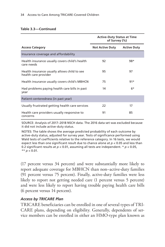#### **Table 3.3—Continued**

|                                                                      | <b>Active-Duty Status at Time</b><br>of Survey (%) |                    |
|----------------------------------------------------------------------|----------------------------------------------------|--------------------|
| <b>Access Category</b>                                               | <b>Not Active Duty</b>                             | <b>Active Duty</b> |
| Insurance coverage and affordability                                 |                                                    |                    |
| Health insurance usually covers child's health<br>care needs         | 92                                                 | $98*$              |
| Health insurance usually allows child to see<br>health care provider | 95                                                 | 97                 |
| Health insurance usually covers child's MBHCN                        | 75                                                 | $91*$              |
| Had problems paying health care bills in past<br>year                | 14                                                 | $6*$               |
| Patient-centeredness (in past year)                                  |                                                    |                    |
| Usually frustrated getting health care services                      | 22                                                 | 17                 |
| Health care providers usually responsive to<br>concerns              | 91                                                 | 85                 |

SOURCE: Analysis of 2017–2018 NSCH data. The 2016 data set was excluded because it did not include active-duty status.

NOTES: The table shows the average predicted probability of each outcome by active-duty status, adjusted for survey year. Tests of significance performed using Wald tests of coefficients relative to the reference category. In 16 tests, we would expect less than one significant result due to chance alone at *p* < 0.05 and less than 0.2 significant results at *p* < 0.01, assuming all tests are independent. \* *p* < 0.05, \*\* *p* < 0.01.

(17 percent versus 34 percent) and were substantially more likely to report adequate coverage for MBHCN than non–active-duty families (91 percent versus 75 percent). Finally, active-duty families were less likely to report not getting needed care (1 percent versus 5 percent) and were less likely to report having trouble paying health care bills (6 percent versus 14 percent).

## *Access by TRICARE Plan*

TRICARE beneficiaries can be enrolled in one of several types of TRI-CARE plans, depending on eligibility. Generally, dependents of service members can be enrolled in either an HMO-type plan known as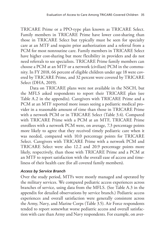TRICARE Prime or a PPO-type plan known as TRICARE Select. Family members in TRICARE Prime have lower cost-sharing than those in TRICARE Select but typically must be seen for specialty care at an MTF and require prior authorization and a referral from a PCM for most nonroutine care. Family members in TRICARE Select have higher cost-sharing but more flexibility in providers and do not need referrals to see specialists. TRICARE Prime family members can choose a PCM at an MTF or a network (civilian) PCM in the community. In FY 2018, 66 percent of eligible children under age 18 were covered by TRICARE Prime, and 32 percent were covered by TRICARE Select (DHA, 2019).

Data on TRICARE plans were not available in the NSCH, but the MFLS asked respondents to report their TRICARE plan (see Table A.2 in the appendix). Caregivers with TRICARE Prime and a PCM at an MTF reported more issues seeing a pediatric medical provider in a reasonable amount of time than those in TRICARE Prime with a network PCM or in TRICARE Select (Table 3.4). Compared with TRICARE Prime with a PCM at an MTF, TRICARE Prime enrollees with a network PCM were, on average, 7.3 percentage points more likely to agree that they received timely pediatric care when it was needed, compared with 10.0 percentage points for TRICARE Select. Caregivers with TRICARE Prime with a network PCM and TRICARE Select were also 12.2 and 20.9 percentage points more likely, respectively, than those with TRICARE Prime and a PCM at an MTF to report satisfaction with the overall ease of access and timeliness of their health care (for all covered family members).

## *Access by Service Branch*

Over the study period, MTFs were mostly managed and operated by the military services. We compared pediatric access experiences across branches of service, using data from the MFLS. (See Table A.3 in the appendix for detailed observations by service branch.) Pediatric access experiences and overall satisfaction were generally consistent across the Army, Navy, and Marine Corps (Table 3.5). Air Force respondents tended to report somewhat worse pediatric access and overall satisfaction with care than Army and Navy respondents. For example, on aver-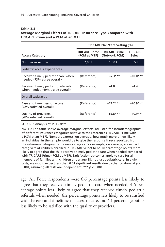#### **Table 3.4 Average Marginal Effects of TRICARE Insurance Type Compared with TRICARE Prime and a PCM at an MTF**

|                                                                        | TRICARE Plan/Care Setting (%)        |                                       |                          |  |
|------------------------------------------------------------------------|--------------------------------------|---------------------------------------|--------------------------|--|
| <b>Access Category</b>                                                 | <b>TRICARE Prime</b><br>(PCM at MTF) | <b>TRICARE Prime</b><br>(Network PCM) | <b>TRICARE</b><br>Select |  |
| Number in sample                                                       | 2,067                                | 1,003                                 | 553                      |  |
| Pediatric access experiences                                           |                                      |                                       |                          |  |
| Received timely pediatric care when<br>needed (73% agree overall)      | (Reference)                          | $+7.3***$                             | $+10.0***$               |  |
| Received timely pediatric referrals<br>when needed (69% agree overall) | (Reference)                          | $+1.8$                                | $-1.4$                   |  |
| <b>Overall satisfaction</b>                                            |                                      |                                       |                          |  |
| Ease and timeliness of access<br>(72% satisfied overall)               | (Reference)                          | $+12.2***$                            | +20.9***                 |  |
| Quality of providers<br>(78% satisfied overall)                        | (Reference)                          | $+5.8***$                             | $+10.9***$               |  |

SOURCE: Analysis of MFLS data.

NOTES: The table shows average marginal effects, adjusted for sociodemographics, of different insurance categories relative to the reference (TRICARE Prime with a PCM at an MTF). Numbers express, on average, how much more or less likely an individual in the sample would be to give the response if recategorized from the reference category to the new category. For example, on average, we expect caregivers of children enrolled in TRICARE Select to be 10 percentage points more likely to agree that the child received timely pediatric care when needed compared with TRICARE Prime (PCM at MTF). Satisfaction outcomes apply to care for all members of families with children under age 18, not just pediatric care. In eight tests, we would expect less than 0.01 significant results due to chance alone at *p* < 0.001, assuming all tests are independent. \*\*\* *p* < 0.001.

age, Air Force respondents were 6.6 percentage points less likely to agree that they received timely pediatric care when needed, 4.6 percentage points less likely to agree that they received timely pediatric referrals when needed, 6.2 percentage points less likely to be satisfied with the ease and timeliness of access to care, and 4.1 percentage points less likely to be satisfied with the quality of providers.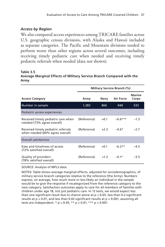## *Access by Region*

We also compared access experiences among TRICARE families across U.S. geographic census divisions, with Alaska and Hawaii included as separate categories. The Pacific and Mountain divisions tended to perform worse than other regions across several outcomes, including receiving timely pediatric care when needed and receiving timely pediatric referrals when needed (data not shown).

#### **Table 3.5**

#### **Average Marginal Effects of Military Service Branch Compared with the Army**

|                                                                        | <b>Military Service Branch (%)</b> |        |                  |                        |
|------------------------------------------------------------------------|------------------------------------|--------|------------------|------------------------|
| <b>Access Category</b>                                                 | Army                               | Navy   | <b>Air Force</b> | <b>Marine</b><br>Corps |
| Number in sample                                                       | 1,383                              | 866    | 948              | 533                    |
| Pediatric access experiences                                           |                                    |        |                  |                        |
| Received timely pediatric care when<br>needed (73% agree overall)      | (Reference)                        | $+0.1$ | $-6.6***$        | $-1.3$                 |
| Received timely pediatric referrals<br>when needed (69% agree overall) | (Reference)                        | $+2.3$ | $-4.6*$          | $-2.7$                 |
| <b>Overall satisfaction</b>                                            |                                    |        |                  |                        |
| Ease and timeliness of access<br>(72% satisfied overall)               | (Reference)                        | $+0.1$ | $-6.2**$         | $-4.5$                 |
| Quality of providers<br>(78% satisfied overall)                        | (Reference)                        | $+1.2$ | $-4.1*$          | $-3.5$                 |

SOURCE: Analysis of MFLS data.

NOTES: Table shows average marginal effects, adjusted for sociodemographics, of military service branch categories relative to the reference (the Army). Numbers express, on average, how much more or less likely an individual in the sample would be to give the response if recategorized from the reference category to the new category. Satisfaction outcomes apply to care for all members of families with children under age 18, not just pediatric care. In 12 tests, we would expect less than one significant result due to chance alone at  $p < 0.05$ , less than 0.2 significant results at *p* < 0.01, and less than 0.02 significant results at *p* < 0.001, assuming all tests are independent. \* *p* < 0.05, \*\* *p* < 0.01, \*\*\* *p* < 0.001.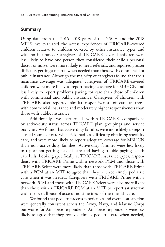# **Summary**

Using data from the 2016–2018 years of the NSCH and the 2018 MFLS, we evaluated the access experiences of TRICARE-covered children relative to children covered by other insurance types and with no insurance. Caregivers of TRICARE-covered children were less likely to have one person they considered their child's personal doctor or nurse, were more likely to need referrals, and reported greater difficulty getting a referral when needed than those with commercial or public insurance. Although the majority of caregivers found that their insurance coverage was adequate, caregivers of TRICARE-covered children were more likely to report having coverage for MBHCN and less likely to report problems paying for care than those of children with commercial and public insurance. Caregivers of children with TRICARE also reported similar responsiveness of care as those with commercial insurance and moderately higher responsiveness than those with public insurance.

Additionally, we performed within-TRICARE comparisons by active-duty status across TRICARE plan groupings and service branches. We found that active-duty families were more likely to report a usual source of care when sick, had less difficulty obtaining specialty care, and were more likely to report adequate coverage for MBHCN than non–active-duty families. Active-duty families were less likely to report not getting needed care and having trouble paying health care bills. Looking specifically at TRICARE insurance types, respondents with TRICARE Prime with a network PCM and those with TRICARE Select were more likely than those with TRICARE Prime with a PCM at an MTF to agree that they received timely pediatric care when it was needed. Caregivers with TRICARE Prime with a network PCM and those with TRICARE Select were also more likely than those with a TRICARE PCM at an MTF to report satisfaction with the overall ease of access and timeliness of their health care.

We found that pediatric access experiences and overall satisfaction were generally consistent across the Army, Navy, and Marine Corps but worse for Air Force respondents. Air Force respondents were less likely to agree that they received timely pediatric care when needed,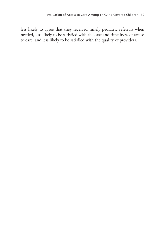less likely to agree that they received timely pediatric referrals when needed, less likely to be satisfied with the ease and timeliness of access to care, and less likely to be satisfied with the quality of providers.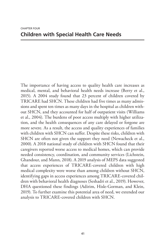The importance of having access to quality health care increases as medical, mental, and behavioral health needs increase (Berry et al., 2015). A 2004 study found that 23 percent of children covered by TRICARE had SHCN. These children had five times as many admissions and spent ten times as many days in the hospital as children without SHCN, and they accounted for half of outpatient visits (Williams et al., 2004). The burdens of poor access multiply with higher utilization, and the health consequences of any care delayed or forgone are more severe. As a result, the access and quality experiences of families with children with SHCN can suffer. Despite these risks, children with SHCN are often not given the support they need (Newacheck et al., 2000). A 2018 national study of children with SHCN found that their caregivers reported worse access to medical homes, which can provide needed consistency, coordination, and community services (Lichstein, Ghandour, and Mann, 2018). A 2019 analysis of MEPS data suggested that access experiences of TRICARE-covered children with high medical complexity were worse than among children without SHCN, identifying gaps in access experiences among TRICARE-covered children with behavioral health diagnoses (Seshadri et al., 2019). However, DHA questioned these findings (Adirim, Hisle-Gorman, and Klein, 2019). To further examine this potential area of need, we extended our analysis to TRICARE-covered children with SHCN.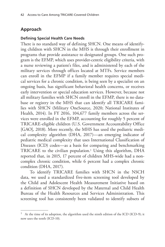# **Approach**

#### **Defining Special Health Care Needs**

There is no standard way of defining SHCN. One means of identifying children with SHCN in the MHS is through their enrollment in programs that provide assistance to designated groups. One such program is the EFMP, which uses provider-centric eligibility criteria, with a nurse reviewing a patient's files, and is administered by each of the military services through offices located at MTFs. Service members can enroll in the EFMP if a family member requires special medical services for a chronic condition, is being seen by a specialist on an ongoing basis, has significant behavioral health concerns, or receives early intervention or special education services. However, because not all military families with SHCN enroll in the EFMP, there is no database or registry in the MHS that can identify all TRICARE families with SHCN (Military OneSource, 2020; National Institutes of Health, 2014). In FY 2016, 104,677 family members across the services were enrolled in the EFMP, accounting for roughly 5 percent of TRICARE-eligible children (U.S. Government Accountability Office [GAO], 2018). More recently, the MHS has used the pediatric medical complexity algorithm (DHA, 2017)—an emerging indicator of pediatric medical complexity that uses International Classification of Diseases (ICD) codes—as a basis for comparing and benchmarking TRICARE to the civilian population.<sup>1</sup> Using this algorithm, DHA reported that, in 2015, 17 percent of children MHS-wide had a noncomplex chronic condition, while 6 percent had a complex chronic condition (DHA, 2017).

To identify TRICARE families with SHCN in the NSCH data, we used a standardized five-item screening tool developed by the Child and Adolescent Health Measurement Initiative based on a definition of SHCN developed by the Maternal and Child Health Bureau of the Health Resources and Services Administration. This screening tool has consistently been validated to identify subsets of

At the time of its adoption, the algorithm used the ninth edition of the ICD (ICD-9); it now uses the tenth (ICD-10).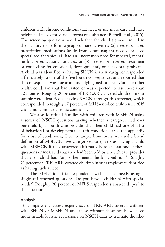children with chronic conditions that need or use more care and have heightened needs for various forms of assistance (Bethell et al., 2015). The screening questions asked whether the child (1) was limited in their ability to perform age-appropriate activities; (2) needed or used prescription medications (aside from vitamins); (3) needed or used specialized therapies; (4) had an uncommon need for medical, mental health, or educational services; or (5) needed or received treatment or counseling for emotional, developmental, or behavioral problems. A child was identified as having SHCN if their caregiver responded affirmatively to one of the five health consequences and reported that the consequence was due to an underlying medical, behavioral, or other health condition that had lasted or was expected to last more than 12 months. Roughly 20 percent of TRICARE-covered children in our sample were identified as having SHCN through this screener, which corresponded to roughly 17 percent of MHS-enrolled children in 2015 with a noncomplex chronic condition.

We also identified families with children with MBHCN using a series of NSCH questions asking whether a caregiver had ever been told by a health care provider that their child had one of a list of behavioral or developmental health conditions. (See the appendix for a list of conditions.) Due to sample limitations, we used a broad definition of MBHCN. We categorized caregivers as having a child with MBHCN if they answered affirmatively to at least one of these questions or indicated that they had been told by a health care provider that their child had "any other mental health condition." Roughly 21 percent of TRICARE-covered children in our sample were identified as having such a need.

The MFLS identifies respondents with special needs using a single self-reported question: "Do you have a child(ren) with special needs?" Roughly 20 percent of MFLS respondents answered "yes" to this question.

## **Analysis**

To compare the access experiences of TRICARE-covered children with SHCN or MBHCN and those without these needs, we used multivariable logistic regressions on NSCH data to estimate the like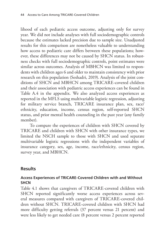lihood of each pediatric access outcome, adjusting only for survey year. We did not include analyses with full sociodemographic controls because the estimates lacked precision due to sample size. Unadjusted results for this comparison are nonetheless valuable to understanding how access to pediatric care differs between these populations; however, these differences may not be caused by SHCN status. In robustness checks with full sociodemographic controls, point estimates were similar across outcomes. Analysis of MBHCN was limited to respondents with children ages 6 and older to maintain consistency with prior research on this population (Seshadri, 2019). Analysis of the joint conditions of SHCN and MBHCN among TRICARE-covered children and their association with pediatric access experiences can be found in Table A.4 in the appendix. We also analyzed access experiences as reported in the MFLS using multivariable logistic regression, adjusting for military service branch, TRICARE insurance plan, sex, race/ ethnicity, education, income, census region, self-reported SHCN status, and prior mental health counseling in the past year (any family member).

To compare the experiences of children with SHCN covered by TRICARE and children with SHCN with other insurance types, we limited the NSCH sample to those with SHCN and used separate multivariable logistic regressions with the independent variables of insurance category, sex, age, income, race/ethnicity, census region, survey year, and MBHCN.

# **Results**

# **Access Experiences of TRICARE-Covered Children with and Without SHCN**

Table 4.1 shows that caregivers of TRICARE-covered children with SHCN reported significantly worse access experiences across several measures compared with caregivers of TRICARE-covered children without SHCN. TRICARE-covered children with SHCN had more difficulty getting referrals (37 percent versus 21 percent) and were less likely to get needed care (8 percent versus 2 percent reported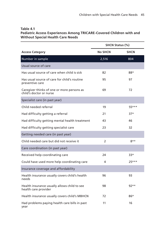#### **Table 4.1 Pediatric Access Experiences Among TRICARE-Covered Children with and Without Special Health Care Needs**

|                                                                       | SHCN Status (%) |             |
|-----------------------------------------------------------------------|-----------------|-------------|
| <b>Access Category</b>                                                | <b>No SHCN</b>  | <b>SHCN</b> |
| Number in sample                                                      | 2,516           | 804         |
| Usual source of care                                                  |                 |             |
| Has usual source of care when child is sick                           | 82              | 88*         |
| Has usual source of care for child's routine<br>preventive care       | 95              | 97          |
| Caregiver thinks of one or more persons as<br>child's doctor or nurse | 69              | 72          |
| Specialist care (in past year)                                        |                 |             |
| Child needed referral                                                 | 19              | 55***       |
| Had difficulty getting a referral                                     | 21              | $37*$       |
| Had difficulty getting mental health treatment                        | 43              | 46          |
| Had difficulty getting specialist care                                | 23              | 32          |
| Getting needed care (in past year)                                    |                 |             |
| Child needed care but did not receive it                              | 2               | $8**$       |
| Care coordination (in past year)                                      |                 |             |
| Received help coordinating care                                       | 24              | $33*$       |
| Could have used more help coordinating care                           | 4               | $25***$     |
| Insurance coverage and affordability                                  |                 |             |
| Health insurance usually covers child's health<br>needs               | 96              | 93          |
| Health insurance usually allows child to see<br>health care provider  | 98              | $92**$      |
| Health insurance usually covers child's MBHCN                         | 72              | $86*$       |
| Had problems paying health care bills in past<br>year                 | 11              | 16          |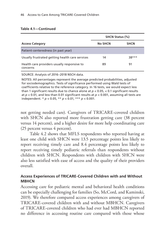#### **Table 4.1—Continued**

|                                                         | <b>SHCN Status (%)</b> |             |
|---------------------------------------------------------|------------------------|-------------|
| <b>Access Category</b>                                  | <b>No SHCN</b>         | <b>SHCN</b> |
| Patient-centeredness (in past year)                     |                        |             |
| Usually frustrated getting health care services         | 14                     | $38***$     |
| Health care providers usually responsive to<br>concerns | 89                     | 91          |

SOURCE: Analysis of 2016–2018 NSCH data.

NOTES: All percentages represent the average predicted probabilities, adjusted for sociodemographics. Tests of significance performed using Wald tests of coefficients relative to the reference category. In 16 tests, we would expect less than 1 significant results due to chance alone at *p* < 0.05, < 0.1 significant results at *p* < 0.01, and less than 0.01 significant results at *p* < 0.001, assuming all tests are independent. \* *p* < 0.05, \*\* *p* < 0.01, \*\*\* *p* < 0.001.

not getting needed care). Caregivers of TRICARE-covered children with SHCN also reported more frustration getting care (38 percent versus 14 percent), and a higher desire for more help coordinating care (25 percent versus 4 percent).

Table 4.2 shows that MFLS respondents who reported having at least one child with SHCN were 13.5 percentage points less likely to report receiving timely care and 8.4 percentage points less likely to report receiving timely pediatric referrals than respondents without children with SHCN. Respondents with children with SHCN were also less satisfied with ease of access and the quality of their providers overall.

#### **Access Experiences of TRICARE-Covered Children with and Without MBHCN**

Accessing care for pediatric mental and behavioral health conditions can be especially challenging for families (So, McCord, and Kaminski, 2019). We therefore compared access experiences among caregivers of TRICARE-covered children with and without MBHCN. Caregivers of TRICARE-covered children who had ever had MBHCN reported no difference in accessing routine care compared with those whose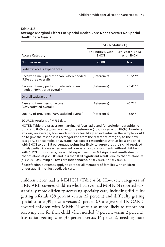#### **Table 4.2 Average Marginal Effects of Special Health Care Needs Versus No Special Health Care Needs**

|                                                                        | <b>SHCN Status (%)</b>          |                               |
|------------------------------------------------------------------------|---------------------------------|-------------------------------|
| <b>Access Category</b>                                                 | No Children with<br><b>SHCN</b> | At Least 1 Child<br>with SHCN |
| Number in sample                                                       | 2,688                           | 682                           |
| Pediatric access experiences                                           |                                 |                               |
| Received timely pediatric care when needed<br>(73% agree overall)      | (Reference)                     | $-13.5***$                    |
| Received timely pediatric referrals when<br>needed (69% agree overall) | (Reference)                     | $-8.4***$                     |
| Overall satisfaction <sup>a</sup>                                      |                                 |                               |
| Ease and timeliness of access<br>(72% satisfied overall)               | (Reference)                     | $-5.7**$                      |
| Quality of providers (78% satisfied overall)                           | (Reference)                     | $-5.6**$                      |

SOURCE: Analysis of MFLS data.

NOTES: Table shows average marginal effects, adjusted for sociodemographics, of different SHCN statuses relative to the reference (no children with SHCN). Numbers express, on average, how much more or less likely an individual in the sample would be to give the response if recategorized from the reference category to the new category. For example, on average, we expect respondents with at least one child with SHCN to be 13.5 percentage points less likely to agree that their child received timely pediatric care when needed compared with respondents without children with SHCN. In four tests, we would expect less than 0.1 significant results due to chance alone at *p* < 0.01 and less than 0.01 significant results due to chance alone at *p* < 0.001, assuming all tests are independent. \*\* *p* < 0.01, \*\*\* *p* < 0.001.

a Satisfaction outcomes apply to care for all members of families with children under age 18, not just pediatric care.

children never had a MBHCN (Table 4.3). However, caregivers of TRICARE-covered children who had ever had MBHCN reported substantially more difficulty accessing specialty care, including difficulty getting referrals (38 percent versus 22 percent) and difficulty getting specialist care (39 percent versus 21 percent). Caregivers of TRICAREcovered children with MBHCN were also more likely to report not receiving care for their child when needed (7 percent versus 2 percent), frustration getting care (37 percent versus 14 percent), needing more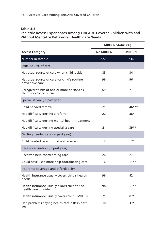#### **Table 4.3**

#### **Pediatric Access Experiences Among TRICARE-Covered Children with and Without Mental or Behavioral Health Care Needs**

|                                                                       | <b>MBHCN Status (%)</b> |              |
|-----------------------------------------------------------------------|-------------------------|--------------|
| <b>Access Category</b>                                                | No MBHCN                | <b>MBHCN</b> |
| Number in sample                                                      | 2,583                   | 736          |
| Usual source of care                                                  |                         |              |
| Has usual source of care when child is sick                           | 83                      | 84           |
| Has usual source of care for child's routine<br>preventive care       | 96                      | 96           |
| Caregiver thinks of one or more persons as<br>child's doctor or nurse | 69                      | 71           |
| Specialist care (in past year)                                        |                         |              |
| Child needed referral                                                 | 21                      | $46***$      |
| Had difficulty getting a referral                                     | 22                      | $38*$        |
| Had difficulty getting mental health treatment                        |                         |              |
| Had difficulty getting specialist care                                | 21                      | $39**$       |
| Getting needed care (in past year)                                    |                         |              |
| Child needed care but did not receive it                              | 2                       | $7*$         |
| Care coordination (in past year)                                      |                         |              |
| Received help coordinating care                                       | 26                      | 27           |
| Could have used more help coordinating care                           | 6                       | $21***$      |
| Insurance coverage and affordability                                  |                         |              |
| Health insurance usually covers child's health<br>needs               | 96                      | 92           |
| Health insurance usually allows child to see<br>health care provider  | 98                      | $91**$       |
| Health insurance usually covers child's MBHCN                         | 71                      | $87*$        |
| Had problems paying health care bills in past<br>year                 | 10                      | $17*$        |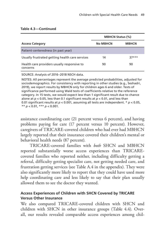|                                                         | <b>MBHCN Status (%)</b> |              |
|---------------------------------------------------------|-------------------------|--------------|
| <b>Access Category</b>                                  | <b>No MBHCN</b>         | <b>MBHCN</b> |
| Patient-centeredness (in past year)                     |                         |              |
| Usually frustrated getting health care services         | 14                      | $77***$      |
| Health care providers usually responsive to<br>concerns | 90                      | 90           |

#### **Table 4.3—Continued**

SOURCE: Analysis of 2016–2018 NSCH data.

NOTES: All percentages represent the average predicted probabilities, adjusted for sociodemographics. For consistency with reporting in other studies (e.g., Seshadri, 2019), we report results by MBHCN only for children ages 6 and older. Tests of significance performed using Wald tests of coefficients relative to the reference category. In 15 tests, we would expect less than 1 significant result due to chance alone at *p* < 0.05, less than 0.1 significant results at *p* < 0.01, and less than 0.01 significant results at *p* < 0.001, assuming all tests are independent. \* *p* < 0.05, \*\* *p* < 0.01, \*\*\* *p* < 0.001.

assistance coordinating care (21 percent versus 6 percent), and having problems paying for care (17 percent versus 10 percent). However, caregivers of TRICARE-covered children who had ever had MBHCN largely reported that their insurance covered their children's mental or behavioral health needs (87 percent).

TRICARE-covered families with *both* SHCN and MBHCN reported substantially worse access experiences than TRICAREcovered families who reported neither, including difficulty getting a referral, difficulty getting specialist care, not getting needed care, and frustration getting services (see Table A.4 in the appendix). They were also significantly more likely to report that they could have used more help coordinating care and less likely to say that their plan usually allowed them to see the doctor they wanted.

#### **Access Experiences of Children with SHCN Covered by TRICARE Versus Other Insurance**

We also compared TRICARE-covered children with SHCN and children with SHCN in other insurance groups (Table 4.4). Overall, our results revealed comparable access experiences among chil-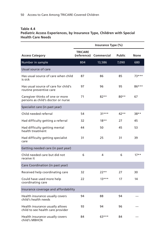#### **Table 4.4 Pediatric Access Experiences, by Insurance Type, Children with Special Health Care Needs**

|                                                                       | Insurance Type (%)            |            |        |             |
|-----------------------------------------------------------------------|-------------------------------|------------|--------|-------------|
| <b>Access Category</b>                                                | <b>TRICARE</b><br>(reference) | Commercial | Public | <b>None</b> |
| Number in sample                                                      | 804                           | 13,586     | 7,090  | 680         |
| Usual source of care                                                  |                               |            |        |             |
| Has usual source of care when child<br>is sick                        | 87                            | 86         | 85     | $73***$     |
| Has usual source of care for child's<br>routine preventive care       | 97                            | 96         | 95     | 86***       |
| Caregiver thinks of one or more<br>persons as child's doctor or nurse | 71                            | $82**$     | $80**$ | 67          |
| Specialist care (in past year)                                        |                               |            |        |             |
| Child needed referral                                                 | 54                            | $31***$    | $42**$ | $38**$      |
| Had difficulty getting a referral                                     | 32                            | $18**$     | 27     | 45          |
| Had difficulty getting mental<br>health treatment                     | 44                            | 50         | 45     | 53          |
| Had difficulty getting specialist<br>care                             | 31                            | 25         | 31     | 39          |
| Getting needed care (in past year)                                    |                               |            |        |             |
| Child needed care but did not<br>receive it                           | 6                             | 4          | 6      | $17**$      |
| Care Coordination (in past year)                                      |                               |            |        |             |
| Received help coordinating care                                       | 32                            | $22**$     | 27     | 30          |
| Could have used more help<br>coordinating care                        | 22                            | $13***$    | 17     | 14          |
| Insurance coverage and affordability                                  |                               |            |        |             |
| Health insurance usually covers<br>child's health needs               | 94                            | 88         | 94     |             |
| Health insurance usually allows<br>child to see health care provider  | 93                            | 94         | 96     |             |
| Health insurance usually covers<br>child's MBHCN                      | 84                            | $63***$    | 84     |             |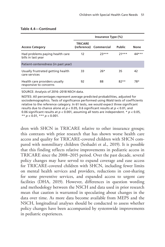|                                                         | Insurance Type (%) |                        |               |             |
|---------------------------------------------------------|--------------------|------------------------|---------------|-------------|
| <b>Access Category</b>                                  | <b>TRICARE</b>     | (reference) Commercial | <b>Public</b> | <b>None</b> |
| Had problems paying health care<br>bills in last year   | 12                 | 73***                  | $71***$       | $44***$     |
| Patient-centeredness (in past year)                     |                    |                        |               |             |
| Usually frustrated getting health<br>care services      | 33                 | $26*$                  | 35            | 42          |
| Health care providers usually<br>responsive to concerns | 92                 | 88                     | $82**$        | 78*         |

#### **Table 4.4—Continued**

SOURCE: Analysis of 2016–2018 NSCH data.

NOTES: All percentages represent average predicted probabilities, adjusted for sociodemographics. Tests of significance performed using Wald tests of coefficients relative to the reference category. In 61 tests, we would expect three significant results due to chance alone at *p* < 0.05, 0.6 significant results at *p* < 0.01, and 0.06 significant results at *p* < 0.001, assuming all tests are independent. \* *p* < 0.05, \*\* *p* < 0.01, \*\*\* *p* < 0.001.

dren with SHCN in TRICARE relative to other insurance groups; this contrasts with prior research that has shown worse health care access and quality for TRICARE-covered children with SHCN compared with nonmilitary children (Seshadri et al., 2019). It is possible that this finding reflects relative improvements in pediatric access in TRICARE since the 2008–2015 period. Over the past decade, several policy changes may have served to expand coverage and ease access for TRICARE-covered children with SHCN, including fewer limits on mental health services and providers, reductions in cost-sharing for some preventive services, and expanded access to urgent care facilities (DHA, 2019). However, differences in question wording and methodology between the NSCH and data used in prior research mean that caution is warranted in speculating about changes in the data over time. As more data become available from MEPS and the NSCH, longitudinal analyses should be conducted to assess whether policy changes have been accompanied by systemwide improvements in pediatric experiences.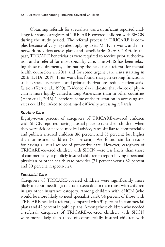Obtaining referrals for specialists was a significant reported challenge for some caregivers of TRICARE-covered children with SHCN during the study period. The referral process in TRICARE is complex because of varying rules applying to its MTF, network, and nonnetwork providers across plans and beneficiaries (GAO, 2019). In the past, TRICARE beneficiaries were required to receive prior authorization and a referral for most specialty care. The MHS has been relaxing these requirements, eliminating the need for a referral for mental health counselors in 2011 and for some urgent care visits starting in 2016 (DHA, 2019). Prior work has found that gatekeeping functions, such as specialty referrals and prior authorizations, reduce patient satisfaction (Kerr et al., 1999). Evidence also indicates that choice of physician is more highly valued among Americans than in other countries (Hero et al., 2016). Therefore, some of the frustration in accessing services could be linked to continued difficulty accessing referrals.

# *Routine Care*

Eighty-seven percent of caregivers of TRICARE-covered children with SHCN reported having a usual place to take their children when they were sick or needed medical advice, rates similar to commercially and publicly insured children (86 percent and 85 percent) but higher than uninsured children (73 percent). We found similar results for having a usual source of preventive care. However, caregivers of TRICARE-covered children with SHCN were less likely than those of commercially or publicly insured children to report having a personal physician or other health care provider (71 percent versus 82 percent and 80 percent, respectively).

# *Specialist Care*

Caregivers of TRICARE-covered children were significantly more likely to report needing a referral to see a doctor than those with children in any other insurance category. Among children with SHCN (who would be more likely to need specialist care), 54 percent of those with TRICARE needed a referral, compared with 31 percent in commercial plans and 42 percent in public plans. Among those children who needed a referral, caregivers of TRICARE-covered children with SHCN were more likely than those of commercially insured children with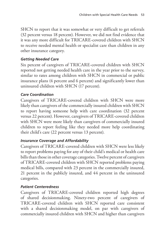SHCN to report that it was somewhat or very difficult to get referrals (32 percent versus 18 percent). However, we did not find evidence that it was any more difficult for TRICARE-covered children with SHCN to receive needed mental health or specialist care than children in any other insurance category.

# *Getting Needed Care*

Six percent of caregivers of TRICARE-covered children with SHCN reported not getting needed health care in the year prior to the survey, similar to rates among children with SHCN in commercial or public insurance plans (4 percent and 6 percent) and significantly lower than uninsured children with SHCN (17 percent).

# *Care Coordination*

Caregivers of TRICARE-covered children with SHCN were more likely than caregivers of the commercially insured children with SHCN to report having someone help with care coordination (32 percent versus 22 percent). However, caregivers of TRICARE-covered children with SHCN were more likely than caregivers of commercially insured children to report feeling like they needed more help coordinating their child's care (22 percent versus 13 percent).

# *Insurance Coverage and Affordability*

Caregivers of TRICARE-covered children with SHCN were less likely to report problems paying for any of their child's medical or health care bills than those in other coverage categories. Twelve percent of caregivers of TRICARE-covered children with SHCN reported problems paying medical bills, compared with 23 percent in the commercially insured, 21 percent in the publicly insured, and 44 percent in the uninsured categories.

# *Patient Centeredness*

Caregivers of TRICARE-covered children reported high degrees of shared decisionmaking. Ninety-two percent of caregivers of TRICARE-covered children with SHCN reported care consistent with a shared decisionmaking model, on par with caregivers of commercially insured children with SHCN and higher than caregivers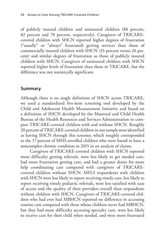of publicly insured children and uninsured children (88 percent, 82 percent and 78 percent, respectively). Caregivers of TRICAREcovered children with SHCN reported higher degrees of frustration ("usually" or "always" frustrated) getting services than those of commercially insured children with SHCN (33 percent versus 26 percent) and similar degrees of frustration as those of publicly insured children with SHCN. Caregivers of uninsured children with SHCN reported higher levels of frustration than those in TRICARE, but the difference was not statistically significant.

## **Summary**

Although there is no single definition of SHCN across TRICARE, we used a standardized five-item screening tool developed by the Child and Adolescent Health Measurement Initiative and based on a definition of SHCN developed by the Maternal and Child Health Bureau of the Health Resources and Services Administration to compare TRICARE-covered children with and without SHCN. Roughly 20 percent of TRICARE-covered children in our sample were identified as having SHCN through this screener, which roughly corresponded to the 17 percent of MHS-enrolled children who were found to have a noncomplex chronic condition in 2015 in an analysis of claims.

Caregivers of TRICARE-covered children with SHCN reported more difficulty getting referrals, were less likely to get needed care, had more frustration getting care, and had a greater desire for more help coordinating care compared with caregivers of TRICAREcovered children without SHCN. MFLS respondents with children with SHCN were less likely to report receiving timely care, less likely to report receiving timely pediatric referrals, were less satisfied with ease of access and the quality of their providers overall than respondents without children with SHCN. Caregivers of TRICARE-covered children who had ever had MBHCN reported no difference in accessing routine care compared with those whose children never had MBHCN, but they had more difficulty accessing specialty care, were less likely to receive care for their child when needed, and were more frustrated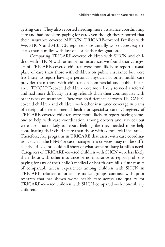getting care. They also reported needing more assistance coordinating care and had problems paying for care even though they reported that their insurance covered MBHCN. TRICARE-covered families with *both* SHCN and MBHCN reported substantially worse access experiences than families with just one or neither designation.

Comparing TRICARE-covered children with SHCN and children with SHCN with other or no insurance, we found that caregivers of TRICARE-covered children were more likely to report a usual place of care than those with children on public insurance but were less likely to report having a personal physician or other health care provider than those with children on commercial and public insurance. TRICARE-covered children were more likely to need a referral and had more difficulty getting referrals than their counterparts with other types of insurance. There was no difference between TRICAREcovered children and children with other insurance coverage in terms of receipt of needed mental health or specialist care. Caregivers of TRICARE-covered children were more likely to report having someone to help with care coordination among doctors and services but were also more likely to report feeling like they needed more help coordinating their child's care than those with commercial insurance. Therefore, free programs in TRICARE that assist with care coordination, such as the EFMP or case management services, may not be sufficiently utilized or could fall short of what some military families need. Caregivers of TRICARE-covered children with SHCN were less likely than those with other insurance or no insurance to report problems paying for any of their child's medical or health care bills. Our results of comparable access experiences among children with SHCN in TRICARE relative to other insurance groups contrast with prior research that has shown worse health care access and quality for TRICARE-covered children with SHCN compared with nonmilitary children.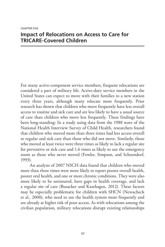# **Impact of Relocations on Access to Care for TRICARE-Covered Children**

For many active-component service members, frequent relocations are considered a part of military life. Active-duty service members in the United States can expect to move with their families to a new station every three years, although many relocate more frequently. Prior research has shown that children who move frequently have less overall access to routine and sick care and are less likely to have a usual source of care than children who move less frequently. These findings have been long-standing: In a study using data from the 1988 wave of the National Health Interview Survey of Child Health, researchers found that children who moved more than three times had less access overall to regular and sick care than those who did not move. Similarly, those who moved at least twice were three times as likely to lack a regular site for preventive or sick care and 1.6 times as likely to use the emergency room as those who never moved (Fowler, Simpson, and Schoendorf, 1993).

An analysis of 2007 NSCH data found that children who moved more than three times were more likely to report poorer overall health, poorer oral health, and one or more chronic conditions. They were also more likely to be uninsured, have gaps in health coverage, and lack a regular site of care (Busacker and Kasehagen, 2012). These factors may be especially problematic for children with SHCN (Newacheck et al., 2000), who need to use the health system more frequently and are already at higher risk of poor access. As with relocations among the civilian population, military relocations disrupt existing relationships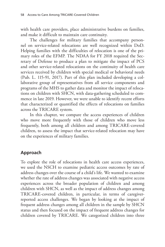with health care providers, place administrative burdens on families, and make it difficult to maintain care continuity.

The challenges for military families that accompany personnel on service-related relocations are well recognized within DoD. Helping families with the difficulties of relocation is one of the primary roles of the EFMP. The NDAA for FY 2018 required the Secretary of Defense to produce a plan to mitigate the impact of PCS and other service-related relocations on the continuity of health care services received by children with special medical or behavioral needs (Pub. L. 115-91, 2017). Part of this plan included developing a collaborative group of representatives from all service components and programs of the MHS to gather data and monitor the impact of relocations on children with SHCN, with data-gathering scheduled to commence in late 2019. However, we were unable to identify recent efforts that characterized or quantified the effects of relocations on families across the TRICARE system.

In this chapter, we compare the access experiences of children who move more frequently with those of children who move less frequently, both among all children and among TRICARE-covered children, to assess the impact that service-related relocation may have on the experiences of military families.

# **Approach**

To explore the role of relocations in health care access experiences, we used the NSCH to examine pediatric access outcomes by rate of address changes over the course of a child's life. We wanted to examine whether the rate of address changes was associated with negative access experiences across the broader population of children and among children with SHCN, as well as the impact of address changes among TRICARE-covered children, in particular, in terms of caregiverreported access challenges. We began by looking at the impact of frequent address changes among all children in the sample by SHCN status and then focused on the impact of frequent address changes for children covered by TRICARE. We categorized children into three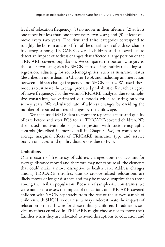levels of relocation frequency: (1) no moves in their lifetime; (2) at least one move but less than one move every two years; and (3) at least one move every two years. The first and third categories correspond to roughly the bottom and top fifth of the distribution of address-change frequency among TRICARE-covered children and allowed us to detect an impact of address changes that affected a large portion of the TRICARE-covered population. We compared the bottom category to the other two categories by SHCN status using multivariable logistic regression, adjusting for sociodemographics, such as insurance status (described in more detail in Chapter Two), and including an interaction between address change frequency and SHCN status. We used these models to estimate the average predicted probabilities for each category of move frequency. For the within-TRICARE analysis, due to samplesize constraints, we estimated our models while adjusting only for survey years. We calculated rate of address changes by dividing the number of reported address changes by the child's age.

We then used MFLS data to compare reported access and quality of care before and after PCS for all TRICARE-covered children. We then used multivariable logistic regression with sociodemographic controls (described in more detail in Chapter Two) to compare the average marginal effects of TRICARE insurance type and service branch on access and quality disruptions due to PCS.

## **Limitations**

Our measure of frequency of address changes does not account for average distance moved and therefore may not capture all the elements that could make a move disruptive to health care. Address changes among TRICARE enrollees due to service-related relocations are likely moves of longer distance and may be more disruptive than those among the civilian population. Because of sample-size constraints, we were not able to assess the impact of relocations on TRICARE-covered children with SHCN separately from the rest of the survey sample of children with SHCN, so our results may underestimate the impacts of relocation on health care for these military children. In addition, service members enrolled in TRICARE might choose not to move their families when they are relocated to avoid disruptions to education and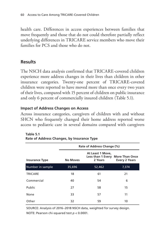health care. Differences in access experiences between families that move frequently and those that do not could therefore partially reflect underlying differences in TRICARE service members who move their families for PCS and those who do not.

# **Results**

The NSCH data analysis confirmed that TRICARE-covered children experience more address changes in their lives than children in other insurance categories. Twenty-one percent of TRICARE-covered children were reported to have moved more than once every two years of their lives, compared with 15 percent of children on public insurance and only 6 percent of commercially insured children (Table 5.1).

# **Impact of Address Changes on Access**

Across insurance categories, caregivers of children with and without SHCN who frequently changed their home address reported worse access to pediatric care in several domains compared with caregivers

|                       | Rate of Address Change (%) |                                                                 |                      |  |  |  |
|-----------------------|----------------------------|-----------------------------------------------------------------|----------------------|--|--|--|
| <b>Insurance Type</b> | <b>No Moves</b>            | At Least 1 Move,<br>Less than 1 Every More Than Once<br>2 Years | <b>Every 2 Years</b> |  |  |  |
| Number in sample      | 35,696                     | 52,462                                                          | 7,374                |  |  |  |
| <b>TRICARE</b>        | 18                         | 61                                                              | 21                   |  |  |  |
| Commercial            | 40                         | 54                                                              | 6                    |  |  |  |
| Public                | 27                         | 58                                                              | 15                   |  |  |  |
| None                  | 33                         | 57                                                              | 11                   |  |  |  |
| Other                 | 32                         | 59                                                              | 10                   |  |  |  |

| Table 5.1                                  |  |  |
|--------------------------------------------|--|--|
| Rate of Address Changes, by Insurance Type |  |  |

SOURCE: Analysis of 2016–2018 NSCH data, weighted for survey design. NOTE: Pearson chi-squared test *p* < 0.0001.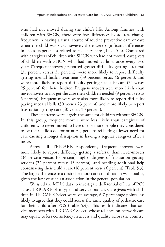who had not moved during the child's life. Among families with children with SHCN, there were few differences by address change frequency in having a usual source of routine preventive care or care when the child was sick; however, there were significant differences in access experiences related to specialty care (Table 5.2). Compared with caregivers of children with SHCN who had not moved, caregivers of children with SHCN who had moved at least once every two years ("frequent movers") reported greater difficulty getting a referral (31 percent versus 21 percent), were more likely to report difficulty getting mental health treatment (59 percent versus 46 percent), and were more likely to report difficulty getting specialist care (34 verses) 25 percent) for their children. Frequent movers were more likely than never-movers to not get the care their children needed (9 percent versus 5 percent). Frequent movers were also more likely to report difficulty paying medical bills (30 versus 23 percent) and more likely to report frustration getting care (40 versus 30 percent).

These patterns were largely the same for children without SHCN. In this group, frequent movers were less likely than caregivers of children who never moved to have one or more people they considered to be their child's doctor or nurse, perhaps reflecting a lower need for care causing a longer disruption in having a regular caregiver after a move.

Across all TRICARE respondents, frequent movers were more likely to report difficulty getting a referral than never-movers (34 percent versus 16 percent), higher degrees of frustration getting services (22 percent versus 13 percent), and needing additional help coordinating their child's care (16 percent versus 6 percent) (Table 5.3). The large difference in a desire for more care coordination was notable, given the lack of such an association in the general population.

We used the MFLS data to investigate differential effects of PCS across TRICARE plan type and service branch. Caregivers with children in TRICARE Select were, on average, 6.7 percentage points less likely to agree that they could access the same quality of pediatric care for their child after PCS (Table 5.4). This result indicates that service members with TRICARE Select, whose reliance on network care may equate to less consistency in access and quality across the country,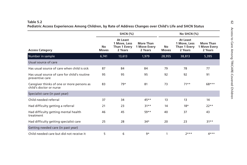## **Table 5.2 Pediatric Access Experiences Among Children, by Rate of Address Changes over Child's Life and SHCN Status**

|                                                                       |                    | SHCN (%)                                            |                                             | No SHCN $(%)$      |                                                     |                                             |
|-----------------------------------------------------------------------|--------------------|-----------------------------------------------------|---------------------------------------------|--------------------|-----------------------------------------------------|---------------------------------------------|
| <b>Access Category</b>                                                | No<br><b>Moves</b> | At Least<br>1 Move, Less<br>Than 1 Every<br>2 Years | <b>More Than</b><br>1 Move Every<br>2 Years | No<br><b>Moves</b> | At Least<br>1 Move, Less<br>Than 1 Every<br>2 Years | <b>More Than</b><br>1 Move Every<br>2 Years |
| Number in sample                                                      | 6,741              | 13,613                                              | 1,979                                       | 28,955             | 38,813                                              | 5,395                                       |
| Usual source of care                                                  |                    |                                                     |                                             |                    |                                                     |                                             |
| Has usual source of care when child is sick                           | 87                 | 84                                                  | 84                                          | 79                 | 78                                                  | 77                                          |
| Has usual source of care for child's routine<br>preventive care       | 95                 | 95                                                  | 95                                          | 92                 | 92                                                  | 91                                          |
| Caregiver thinks of one or more persons as<br>child's doctor or nurse | 83                 | 79*                                                 | 81                                          | 73                 | $71**$                                              | 68***                                       |
| Specialist care (in past year)                                        |                    |                                                     |                                             |                    |                                                     |                                             |
| Child needed referral                                                 | 37                 | 34                                                  | $45**$                                      | 13                 | 13                                                  | 14                                          |
| Had difficulty getting a referral                                     | 21                 | 23                                                  | $31**$                                      | 14                 | $18*$                                               | $22**$                                      |
| Had difficulty getting mental health<br>treatment                     | 46                 | 45                                                  | 59**                                        | 40                 | 37                                                  | 43                                          |
| Had difficulty getting specialist care                                | 25                 | 28                                                  | $34*$                                       | 20                 | 23                                                  | $31**$                                      |
| Getting needed care (in past year)                                    |                    |                                                     |                                             |                    |                                                     |                                             |
| Child needed care but did not receive it                              | 5                  | 6                                                   | $q*$                                        | 1                  | $7***$                                              | $4***$                                      |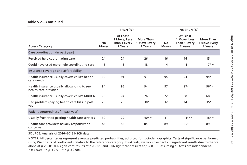#### **Table 5.2—Continued**

|                                                                      | <b>SHCN (%)</b>    |                                                     | No SHCN (%)                                 |                    |                                                     |                                             |
|----------------------------------------------------------------------|--------------------|-----------------------------------------------------|---------------------------------------------|--------------------|-----------------------------------------------------|---------------------------------------------|
| <b>Access Category</b>                                               | No<br><b>Moves</b> | At Least<br>1 Move, Less<br>Than 1 Every<br>2 Years | <b>More Than</b><br>1 Move Every<br>2 Years | No<br><b>Moves</b> | At Least<br>1 Move, Less<br>Than 1 Every<br>2 Years | <b>More Than</b><br>1 Move Every<br>2 Years |
| Care coordination (in past year)                                     |                    |                                                     |                                             |                    |                                                     |                                             |
| Received help coordinating care                                      | 24                 | 24                                                  | 26                                          | 16                 | 16                                                  | 15                                          |
| Could have used more help coordinating care                          | 15                 | 13                                                  | 18                                          | 4                  | 4                                                   | $7***$                                      |
| Insurance coverage and affordability                                 |                    |                                                     |                                             |                    |                                                     |                                             |
| Health insurance usually covers child's health<br>care needs         | 90                 | 91                                                  | 91                                          | 95                 | 94                                                  | $94*$                                       |
| Health insurance usually allows child to see<br>health care provider | 94                 | 95                                                  | 94                                          | 97                 | $97*$                                               | $96***$                                     |
| Health insurance usually covers child's MBHCN                        | 73                 | 74                                                  | 76                                          | 72                 | 68                                                  | 68                                          |
| Had problems paying health care bills in past<br>year                | 23                 | 23                                                  | $30*$                                       | 12                 | 14                                                  | $15*$                                       |
| Patient-centeredness (in past year)                                  |                    |                                                     |                                             |                    |                                                     |                                             |
| Usually frustrated getting health care services                      | 30                 | 29                                                  | $40***$                                     | 11                 | $14***$                                             | $18***$                                     |
| Health care providers usually responsive to<br>concerns              | 85                 | 86                                                  | 84                                          | 89                 | $85*$                                               | 89                                          |

SOURCE: Analysis of 2016–2018 NSCH data.

NOTES: All percentages represent average predicted probabilities, adjusted for sociodemographics. Tests of significance performed using Wald tests of coefficients relative to the reference category. In 64 tests, we would expect 2.6 significant results due to chance alone at *p* < 0.05, 0.6 significant results at p < 0.01, and 0.06 significant results at *p* < 0.001, assuming all tests are independent. \* *p* < 0.05, \*\* *p* < 0.01, \*\*\* *p* < 0.001.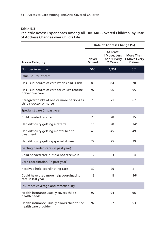### **Table 5.3 Pediatric Access Experiences Among All TRICARE-Covered Children, by Rate of Address Changes over Child's Life**

|                                                                       | Rate of Address Change (%) |                                                     |                                             |  |  |
|-----------------------------------------------------------------------|----------------------------|-----------------------------------------------------|---------------------------------------------|--|--|
| <b>Access Category</b>                                                | <b>Never</b><br>Moved      | At Least<br>1 Move, Less<br>Than 1 Every<br>2 Years | <b>More Than</b><br>1 Move Every<br>2 Years |  |  |
| Number in sample                                                      | 560                        | 1,951                                               | 561                                         |  |  |
| Usual source of care                                                  |                            |                                                     |                                             |  |  |
| Has usual source of care when child is sick                           | 86                         | 84                                                  | 78                                          |  |  |
| Has usual source of care for child's routine<br>preventive care       | 97                         | 96                                                  | 95                                          |  |  |
| Caregiver thinks of one or more persons as<br>child's doctor or nurse | 73                         | 71                                                  | 67                                          |  |  |
| Specialist care (in past year)                                        |                            |                                                     |                                             |  |  |
| Child needed referral                                                 | 25                         | 28                                                  | 25                                          |  |  |
| Had difficulty getting a referral                                     | 16                         | 28                                                  | $34*$                                       |  |  |
| Had difficulty getting mental health<br>treatment                     | 46                         | 45                                                  | 49                                          |  |  |
| Had difficulty getting specialist care                                | 22                         | 25                                                  | 39                                          |  |  |
| Getting needed care (in past year)                                    |                            |                                                     |                                             |  |  |
| Child needed care but did not receive it                              | 2                          | 3                                                   | 4                                           |  |  |
| Care coordination (in past year)                                      |                            |                                                     |                                             |  |  |
| Received help coordinating care                                       | 32                         | 26                                                  | 21                                          |  |  |
| Could have used more help coordinating<br>care in last year           | 6                          | 8                                                   | $16*$                                       |  |  |
| Insurance coverage and affordability                                  |                            |                                                     |                                             |  |  |
| Health insurance usually covers child's<br>health needs               | 97                         | 94                                                  | 96                                          |  |  |
| Health insurance usually allows child to see<br>health care provider  | 97                         | 97                                                  | 93                                          |  |  |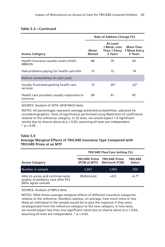## **Table 5.3—Continued**

|                                                         | Rate of Address Change (%) |                                                     |                                      |  |
|---------------------------------------------------------|----------------------------|-----------------------------------------------------|--------------------------------------|--|
| <b>Access Category</b>                                  | Never<br>Moved             | At Least<br>1 Move, Less<br>Than 1 Every<br>2 Years | More Than<br>1 Move Every<br>2 Years |  |
| Health insurance usually covers child's<br><b>MBHCN</b> | 88                         | 79                                                  | 82                                   |  |
| Had problems paying for health care bills               | 12                         | 12                                                  | 14                                   |  |
| Patient-centeredness (in past year)                     |                            |                                                     |                                      |  |
| Usually frustrated getting health care<br>services      | 13                         | $20*$                                               | $22*$                                |  |
| Health care providers usually responsive to<br>concerns | 89                         | 91                                                  | 87                                   |  |

SOURCE: Analysis of 2016–2018 NSCH data.

NOTES: All percentages represent average predicted probabilities, adjusted for sociodemographics. Tests of significance performed using Wald tests of coefficients relative to the reference category. In 32 tests, we would expect 1.6 significant results due to chance alone at *p* < 0.05, assuming all tests are independent.  $* p < 0.05$ .

### **Table 5.4 Average Marginal Effects of TRICARE Insurance Type Compared with TRICARE Prime at an MTF**

|                                                                                                | TRICARE Plan/Care Setting (%) |                                                                  |                          |  |  |
|------------------------------------------------------------------------------------------------|-------------------------------|------------------------------------------------------------------|--------------------------|--|--|
| <b>Access Category</b>                                                                         |                               | <b>TRICARE Prime TRICARE Prime</b><br>(PCM at MTF) (Network PCM) | <b>TRICARE</b><br>Select |  |  |
| Number in sample                                                                               | 2,067                         | 1.003                                                            | 553                      |  |  |
| Able to access and continue same<br>quality of pediatric care after PCS<br>(60% agree overall) | (Reference)                   | $+0.0$                                                           | $-6.7*$                  |  |  |

SOURCE: Analysis of MFLS data.

NOTES: Table shows average marginal effects of different insurance categories relative to the reference. Numbers express, on average, how much more or less likely an individual in the sample would be to give the response if they were recategorized from the reference category to the new category. In two tests, we would expect less than one significant result due to chance alone at *p* < 0.05, assuming all tests are independent. \* *p* < 0.05.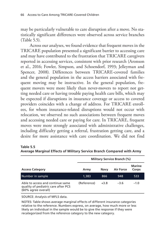may be particularly vulnerable to care disruption after a move. No statistically significant differences were observed across service branches (Table 5.5).

Across our analyses, we found evidence that frequent moves in the TRICARE population presented a significant barrier to accessing care and may have contributed to the frustration that TRICARE caregivers reported in accessing services, consistent with prior research (Aronson et al., 2016; Fowler, Simpson, and Schoendorf, 1993; Jelleyman and Spencer, 2008). Differences between TRICARE-covered families and the general population in the access barriers associated with frequent moving may be instructive. In the general population, frequent movers were more likely than never-movers to report not getting needed care or having trouble paying health care bills, which may be expected if disruptions in insurance coverage or access to covered providers coincides with a change of address. For TRICARE enrollees, for whom insurance-related disruptions would not occur with relocation, we observed no such associations between frequent moves and accessing needed care or paying for care. In TRICARE, frequent moves were more strongly associated with administrative challenges, including difficulty getting a referral, frustration getting care, and a desire for more assistance with care coordination. We did not find

### **Table 5.5**

| Average Marginal Effects of Military Service Branch Compared with Army |  |  |  |  |  |
|------------------------------------------------------------------------|--|--|--|--|--|
|------------------------------------------------------------------------|--|--|--|--|--|

|                                                                                                |             | <b>Military Service Branch (%)</b> |                  |                 |  |  |
|------------------------------------------------------------------------------------------------|-------------|------------------------------------|------------------|-----------------|--|--|
| <b>Access Category</b>                                                                         | Army        | Navy                               | <b>Air Force</b> | Marine<br>Corps |  |  |
| Number in sample                                                                               | 1,383       | 866                                | 948              | 533             |  |  |
| Able to access and continue same<br>quality of pediatric care after PCS<br>(60% agree overall) | (Reference) | $+3.8$                             | $-3.6$           | $-1.0$          |  |  |

SOURCE: Analysis of MFLS data.

NOTES: Table shows average marginal effects of different insurance categories relative to the reference. Numbers express, on average, how much more or less likely an individual in the sample would be to give the response if they were recategorized from the reference category to the new category.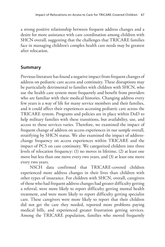a strong positive relationship between frequent address changes and a desire for more assistance with care coordination among children with SHCN overall, suggesting that the challenges that TRICARE families face in managing children's complex health care needs may be greatest after relocation.

# **Summary**

Previous literature has found a negative impact from frequent changes of address on pediatric care access and continuity. These disruptions may be particularly detrimental to families with children with SHCN, who use the health care system more frequently and benefit from providers who are familiar with their medical histories. Changing address every few years is a way of life for many service members and their families, and it could affect their experiences accessing pediatric care across the TRICARE system. Programs and policies are in place within DoD to help military families with these transitions, but availability, use, and access to those services varies. Therefore, we examined the impact of frequent change of address on access experiences in our sample overall, stratifying by SHCN status. We also examined the impact of addresschange frequency on access experiences within TRICARE and the impact of PCS on care continuity. We categorized children into three levels of relocation frequency: (1) no moves in lifetime, (2) at least one move but less than one move every two years, and (3) at least one move every two years.

NSCH data confirmed that TRICARE-covered children experienced more address changes in their lives than children with other types of insurance. For children with SHCN, overall, caregivers of those who had frequent address changes had greater difficulty getting a referral, were more likely to report difficulty getting mental health treatment, and were more likely to report difficulty getting specialist care. These caregivers were more likely to report that their children did not get the care they needed, reported more problems paying medical bills, and experienced greater frustration getting services. Among the TRICARE population, families who moved frequently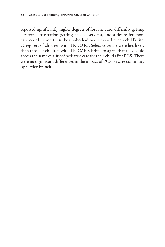reported significantly higher degrees of forgone care, difficulty getting a referral, frustration getting needed services, and a desire for more care coordination than those who had never moved over a child's life. Caregivers of children with TRICARE Select coverage were less likely than those of children with TRICARE Prime to agree that they could access the same quality of pediatric care for their child after PCS. There were no significant differences in the impact of PCS on care continuity by service branch.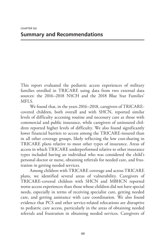This report evaluated the pediatric access experiences of military families enrolled in TRICARE using data from two external data sources: the 2016–2018 NSCH and the 2018 Blue Star Families' MFLS.

We found that, in the years 2016–2018, caregivers of TRICAREcovered children, both overall and with SHCN, reported similar levels of difficulty accessing routine and necessary care as those with commercial and public insurance, while caregivers of uninsured children reported higher levels of difficulty. We also found significantly lower financial barriers to access among the TRICARE-insured than in all other coverage groups, likely reflecting the low cost-sharing in TRICARE plans relative to most other types of insurance. Areas of access in which TRICARE underperformed relative to other insurance types included having an individual who was considered the child's personal doctor or nurse, obtaining referrals for needed care, and frustration in getting needed services.

Among children with TRICARE coverage and across TRICARE plans, we identified several areas of vulnerability. Caregivers of TRICARE-covered children with SHCN and MBHCN reported worse access experiences than those whose children did not have special needs, especially in terms of receiving specialist care, getting needed care, and getting assistance with care coordination. We also found evidence that PCS and other service-related relocations are disruptive to pediatric care access, particularly in the areas of obtaining needed referrals and frustration in obtaining needed services. Caregivers of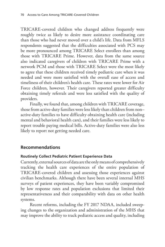TRICARE-covered children who changed address frequently were roughly twice as likely to desire more assistance coordinating care than those who had never moved over a child's life. Data from MFLS respondents suggested that the difficulties associated with PCS may be more pronounced among TRICARE Select enrollees than among those with TRICARE Prime. However, data from the same source also indicated caregivers of children with TRICARE Prime with a network PCM and those with TRICARE Select were the most likely to agree that these children received timely pediatric care when it was needed and were more satisfied with the overall ease of access and timeliness of their children's health care. These rates were lower for Air Force children, however. Their caregivers reported greater difficulty obtaining timely referrals and were less satisfied with the quality of providers.

Finally, we found that, among children with TRICARE coverage, those from active-duty families were less likely than children from non– active-duty families to have difficulty obtaining health care (including mental and behavioral health care), and their families were less likely to report trouble paying medical bills. Active-duty families were also less likely to report not getting needed care.

# **Recommendations**

# **Routinely Collect Pediatric Patient Experience Data**

Currently, external sources of data are the only means of comprehensively tracking the health care experiences of the entire population of TRICARE-covered children and assessing those experiences against civilian benchmarks. Although there have been several internal MHS surveys of patient experiences, they have been variably compromised by low response rates and population exclusions that limited their representativeness and their comparability with data on other health systems.

Recent reforms, including the FY 2017 NDAA, included sweeping changes to the organization and administration of the MHS that may improve the ability to track pediatric access and quality, including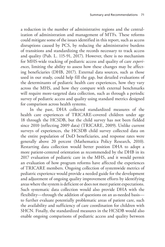a reduction in the number of administrative regions and the centralization of administration and management of MTFs. These reforms could mitigate some of the issues identified in this report, such as access disruptions caused by PCS, by reducing the administrative burdens of transitions and standardizing the records necessary to track access and quality (Pub. L. 115-91, 2017). However, there is no mechanism for MHS-wide tracking of pediatric access and quality of care *experiences*, limiting the ability to assess how these changes may be affecting beneficiaries (DHB, 2017). External data sources, such as those used in our study, could help fill the gap, but detailed evaluations of the determinants of pediatric health care experiences, how they vary across the MHS, and how they compare with external benchmarks will require more-targeted data collection, such as through a periodic survey of pediatric access and quality using standard metrics designed for comparison across health systems.

In the past, DHA collected standardized measures of the health care experiences of TRICARE-covered children under age 18 through the HCSDB, but the child survey has not been fielded since 2010 (reflecting 2009 data) (TRICARE, 2009). Unlike current surveys of experiences, the HCSDB child survey collected data on the entire population of DoD beneficiaries, and response rates were generally above 20 percent (Mathematica Policy Research, 2010). Restarting data collection would better position DHA to adopt a more patient-centered orientation as recommended by the DHB in its 2017 evaluation of pediatric care in the MHS, and it would permit an evaluation of how program reforms have affected the experiences of TRICARE members. Ongoing collection of systemwide metrics of pediatric experience would provide a needed guide for the development and adjustment of ongoing quality improvement efforts by identifying areas where the system is deficient or does not meet patient expectations. Such systematic data collection would also provide DHA with the flexibility—through the addition of questions on an as-needed basis to further evaluate potentially problematic areas of patient care, such the availability and sufficiency of care coordination for children with SHCN. Finally, the standardized measures in the HCSDB would also enable ongoing comparisons of pediatric access and quality between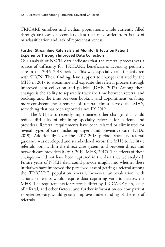TRICARE enrollees and civilian populations, a role currently filled through analyses of secondary data that may suffer from issues of misclassification and lack of representativeness.

# **Further Streamline Referrals and Monitor Effects on Patient Experience Through Improved Data Collection**

Our analysis of NSCH data indicates that the referral process was a source of difficulty for TRICARE beneficiaries accessing pediatric care in the 2016–2018 period. This was especially true for children with SHCN. These findings lend support to changes initiated by the MHS in 2017 to streamline and expedite the referral process through improved data collection and policies (DHB, 2017). Among these changes is the ability to separately track the time between referral and booking and the time between booking and appointment, enabling more-consistent measurement of referral times across the MHS, something that has been reported since FY 2019.

The MHS also recently implemented other changes that could reduce difficulty of obtaining specialty referrals for patients and providers. Referral requirements have been relaxed or eliminated for several types of care, including urgent and preventive care (DHA, 2019). Additionally, over the 2017–2018 period, specialty referral guidance was developed and standardized across the MHS to facilitate referrals both within the direct care system and between direct and network care providers (GAO, 2019; MHS, 2017). The effects of these changes would not have been captured in the data that we analyzed. Future years of NSCH data could provide insight into whether these initiatives have improved the perceived ease of getting a referral among the TRICARE population overall; however, an evaluation with actionable results would require data capturing variation across the MHS. The requirements for referrals differ by TRICARE plan, locus of referral, and other factors, and further information on how patient experiences vary would greatly improve understanding of the role of referrals.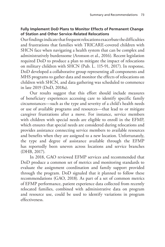# **Fully Implement DoD Plans to Monitor Effects of Permanent Change of Station and Other Service-Related Relocations**

Our findings indicate that frequent relocations exacerbate the difficulties and frustrations that families with TRICARE-covered children with SHCN face when navigating a health system that can be complex and administratively burdensome (Aronson et al., 2016). Recent legislation required DoD to produce a plan to mitigate the impact of relocations on military children with SHCN (Pub. L. 115-91, 2017). In response, DoD developed a collaborative group representing all components and MHS programs to gather data and monitor the effects of relocations on children with SHCN, and data gathering was scheduled to commence in late 2019 (DoD, 2018a).

Our results suggest that this effort should include measures of beneficiary experiences accessing care to identify specific family circumstances—such as the type and severity of a child's health needs or use of available programs and resources—that lead to or mitigate caregiver frustrations after a move. For instance, service members with children with special needs are eligible to enroll in the EFMP, which ensures that special needs are considered during relocations and provides assistance connecting service members to available resources and benefits when they are assigned to a new location. Unfortunately, the type and degree of assistance available through the EFMP has reportedly been uneven across locations and service branches (DHB, 2017).

In 2018, GAO reviewed EFMP services and recommended that DoD produce a common set of metrics and monitoring standards to evaluate the assignment coordination and family support provided through the program. DoD signaled that it planned to follow these recommendations (GAO, 2018). As part of a set of common metrics of EFMP performance, patient experience data collected from recently relocated families, combined with administrative data on program and resource use, could be used to identify variations in program effectiveness.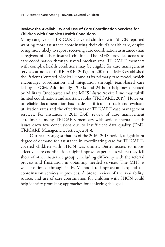# **Review the Availability and Use of Care Coordination Services for Children with Complex Health Conditions**

Many caregivers of TRICARE-covered children with SHCN reported wanting more assistance coordinating their child's health care, despite being more likely to report receiving care coordination assistance than caregivers of other insured children. The MHS provides access to care coordination through several mechanisms. TRICARE members with complex health conditions may be eligible for case management services at no cost (TRICARE, 2019). In 2009, the MHS established the Patient Centered Medical Home as its primary care model, which encourages coordination and integration through team-based care led by a PCM. Additionally, PCMs and 24-hour helplines operated by Military OneSource and the MHS Nurse Advice Line may fulfill limited coordination and assistance roles (TRICARE, 2019). However, unreliable documentation has made it difficult to track and evaluate utilization rates and the effectiveness of TRICARE case management services. For instance, a 2013 DoD review of case management enrollment among TRICARE members with serious mental health issues drew few conclusions due to insufficient data quality (DoD, TRICARE Management Activity, 2013).

Our results suggest that, as of the 2016–2018 period, a significant degree of demand for assistance in coordinating care for TRICAREcovered children with SHCN was unmet. Better access to moreeffective care coordination might improve experiences where they fell short of other insurance groups, including difficulty with the referral process and frustration in obtaining needed services. The MHS is well positioned through its PCM model to improve and expand the coordination services it provides. A broad review of the availability, source, and use of care coordination for children with SHCN could help identify promising approaches for achieving this goal.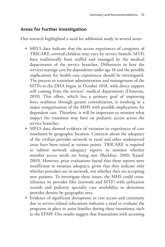# **Areas for Further Investigation**

Our research highlighted a need for additional study in several areas:

- MFLS data indicate that the access experiences of caregivers of TRICARE-covered children may vary by service branch. MTFs have traditionally been staffed and managed by the medical departments of the service branches. Differences in how the services manage care for dependents under age 18 and the possible implications for health care experiences should be investigated. The process to transition administration and management of the MTFs to the DHA began in October 2018, with direct support still coming from the services' medical departments (Donovan, 2019). This effort, which has a primary goal of improving force readiness through greater centralization, is resulting in a major reorganization of the MHS with possible implications for dependent care. Therefore, it will be important to monitor what impact the transition may have on pediatric access across the service branches.
- MFLS data showed evidence of variation in experiences of care timeliness by geographic location. Concerns about the adequacy of the civilian provider network in rural and other underserved areas have been raised at various points. TRICARE is required to submit network adequacy reports to monitor whether member access needs are being met (Backhus, 2000; Kanof, 2003). However, prior evaluations found that these reports were insufficient to measure adequacy, given that they indicate only whether providers are in-network, not whether they are accepting new patients. To investigate these issues, the MHS could crossreference its provider files (network and MTF) with utilization records and pediatric specialty care availability to determine provider density by geographic area.
- Evidence of significant disruptions in care access and continuity due to service-related relocations indicates a need to evaluate the programs in place to assist families during these transitions, such as the EFMP. Our results suggest that frustrations with accessing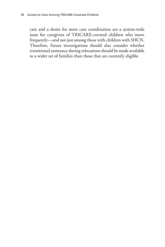care and a desire for more care coordination are a system-wide issue for caregivers of TRICARE-covered children who move frequently—and not just among those with children with SHCN. Therefore, future investigations should also consider whether transitional assistance during relocations should be made available to a wider set of families than those that are currently eligible.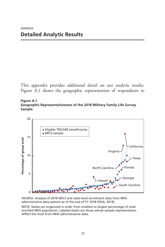This appendix provides additional detail on our analytic results. Figure A.1 shows the geographic representation of respondents to

#### **Figure A.1 Geographic Representativeness of the 2018 Military Family Life Survey Sample**



SOURCE: Analysis of 2018 MFLS and state-level enrollment data from MHS administrative data systems as of the end of FY 2018 (DHA, 2019).

NOTE: States are organized in order from smallest to largest percentage of total enrolled MHS population. Labeled states are those whose sample representation differs the most from MHS administrative data.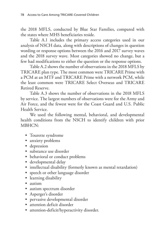the 2018 MFLS, conducted by Blue Star Families, compared with the states where MHS beneficiaries reside.

Table A.1 includes the primary access categories used in our analysis of NSCH data, along with descriptions of changes in question wording or response options between the 2016 and 2017 survey waves and the 2018 survey wave. Most categories showed no change, but a few had modifications to either the question or the response options.

Table A.2 shows the number of observations in the 2018 MFLS by TRICARE plan type. The most common were TRICARE Prime with a PCM at an MTF and TRICARE Prime with a network PCM, while the least common were TRICARE Select Overseas and TRICARE Retired Reserve.

Table A.3 shows the number of observations in the 2018 MFLS by service. The largest numbers of observations were for the Army and Air Force, and the fewest were for the Coast Guard and U.S. Public Health Service.

We used the following mental, behavioral, and developmental health conditions from the NSCH to identify children with prior MBHCN:

- Tourette syndrome
- anxiety problems
- depression
- substance use disorder
- behavioral or conduct problems
- developmental delay
- intellectual disability (formerly known as mental retardation)
- speech or other language disorder
- learning disability
- autism
- autism spectrum disorder
- Asperger's disorder
- pervasive developmental disorder
- attention deficit disorder
- attention-deficit/hyperactivity disorder.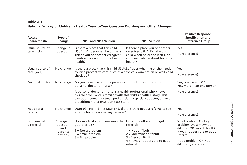## **Table A.1 National Survey of Children's Health Year-to-Year Question Wording and Other Changes**

| <b>Access</b><br><b>Characteristic</b>                 | Type of<br>Change          | 2016 and 2017 Version                                                                                          | 2018 Version                                                                                                                                                                                                                                                  | <b>Positive Response</b><br><b>Specification and</b><br><b>Reference Group</b> |  |
|--------------------------------------------------------|----------------------------|----------------------------------------------------------------------------------------------------------------|---------------------------------------------------------------------------------------------------------------------------------------------------------------------------------------------------------------------------------------------------------------|--------------------------------------------------------------------------------|--|
| Change in<br>Usual source of                           |                            | Is there a place that this child                                                                               | Is there a place you or another                                                                                                                                                                                                                               | Yes                                                                            |  |
| care (sick)                                            | question                   | USUALLY goes when he or she is<br>sick or you or another caregiver<br>needs advice about his or her<br>health? | caregiver USUALLY take this<br>child when he or she is sick, or<br>you need advice about his or her<br>health?                                                                                                                                                | No (reference)                                                                 |  |
| Usual source of                                        | No change                  | Is there a place that this child USUALLY goes when he or she needs                                             |                                                                                                                                                                                                                                                               | Yes                                                                            |  |
| care (well)                                            |                            | routine preventive care, such as a physical examination or well-child<br>check-up?                             |                                                                                                                                                                                                                                                               | No (reference)                                                                 |  |
| Personal doctor                                        | No change                  | Do you have one or more persons you think of as this child's<br>personal doctor or nurse?                      | Yes, one person OR<br>Yes, more than one person                                                                                                                                                                                                               |                                                                                |  |
|                                                        |                            |                                                                                                                | A personal doctor or nurse is a health professional who knows<br>this child well and is familiar with this child's health history. This<br>can be a general doctor, a pediatrician, a specialist doctor, a nurse<br>practitioner, or a physician's assistant. |                                                                                |  |
| Need for a                                             | No change                  | DURING THE PAST 12 MONTHS, did this child need a referral to see                                               |                                                                                                                                                                                                                                                               | Yes                                                                            |  |
| referral                                               |                            | any doctors or receive any services?                                                                           |                                                                                                                                                                                                                                                               | No (reference)                                                                 |  |
| Problem getting<br>Change in<br>a referral<br>question |                            | How much of a problem was it to<br>get referrals?                                                              | How difficult was it to get<br>referrals?                                                                                                                                                                                                                     | Small problem OR big<br>problem OR somewhat                                    |  |
|                                                        | and<br>response<br>options | $1 = Not$ a problem<br>$2 =$ Small problem<br>$3 =$ Big problem                                                | $1 = Not$ difficult<br>$2 =$ Somewhat difficult<br>$3 =$ Very difficult                                                                                                                                                                                       | difficult OR very difficult OR<br>It was not possible to get a<br>referral     |  |
|                                                        |                            |                                                                                                                | $4 =$ It was not possible to get a<br>referral                                                                                                                                                                                                                | Not a problem OR Not<br>difficult (reference)                                  |  |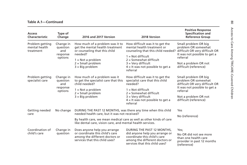### **Table A.1—Continued**

| <b>Access</b><br><b>Characteristic</b>        | Type of<br>Change                                   | 2016 and 2017 Version                                                                                                                                                                                                                              | 2018 Version                                                                                                                                                                                                                                                    | <b>Positive Response</b><br><b>Specification and</b><br><b>Reference Group</b>                                                                                             |
|-----------------------------------------------|-----------------------------------------------------|----------------------------------------------------------------------------------------------------------------------------------------------------------------------------------------------------------------------------------------------------|-----------------------------------------------------------------------------------------------------------------------------------------------------------------------------------------------------------------------------------------------------------------|----------------------------------------------------------------------------------------------------------------------------------------------------------------------------|
| Problem getting<br>mental health<br>treatment | Change in<br>question<br>and<br>response<br>options | How much of a problem was it to<br>get the mental health treatment<br>or counseling that this child<br>needed?<br>$1 = Not$ a problem<br>$2 =$ Small problem<br>$3 = Big problem$                                                                  | How difficult was it to get the<br>mental health treatment or<br>counseling that this child needed? difficult OR very difficult OR<br>$1 = Not$ difficult<br>$2 =$ Somewhat difficult<br>$3 =$ Very difficult<br>$4 =$ It was not possible to get a<br>referral | Small problem OR big<br>problem OR somewhat<br>It was not possible to get a<br>referral<br>Not a problem OR not<br>difficult (reference)                                   |
| Problem getting<br>specialist care            | Change in<br>question<br>and<br>response<br>options | How much of a problem was it<br>to get the specialist care that this<br>child needed?<br>$1 = Not$ a problem<br>$2 =$ Small problem<br>$3 = Big problem$                                                                                           | How difficult was it to get the<br>specialist care that this child<br>needed?<br>$1 = Not$ difficult<br>$2 =$ Somewhat difficult<br>$3 =$ Very difficult<br>$4 =$ It was not possible to get a<br>referral                                                      | Small problem OR big<br>problem OR somewhat<br>difficult OR very difficult OR<br>It was not possible to get a<br>referral<br>Not a problem OR not<br>difficult (reference) |
| Getting needed<br>care                        | No change                                           | DURING THE PAST 12 MONTHS, was there any time when this child<br>needed health care, but it was not received?<br>By health care, we mean medical care as well as other kinds of care<br>like dental care, vision care, and mental health services. |                                                                                                                                                                                                                                                                 | Yes<br>No (reference)                                                                                                                                                      |
| Coordination of<br>child's care               | Change in<br>question                               | Does anyone help you arrange<br>or coordinate this child's care<br>among the different doctors or<br>services that this child uses?                                                                                                                | DURING THE PAST 12 MONTHS,<br>did anyone help you arrange or<br>coordinate this child's care<br>among the different doctors or<br>services that this child uses?                                                                                                | Yes;<br>No OR did not see more<br>than one health care<br>provider in past 12 months<br>(reference)                                                                        |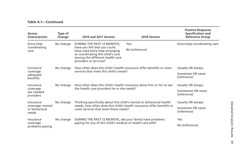## **Table A.1—Continued**

| <b>Access</b><br><b>Characteristic</b>                  | Type of<br>Change | 2016 and 2017 Version                                                                                                                                                                          | 2018 Version           | <b>Positive Response</b><br><b>Specification and</b><br><b>Reference Group</b> |
|---------------------------------------------------------|-------------------|------------------------------------------------------------------------------------------------------------------------------------------------------------------------------------------------|------------------------|--------------------------------------------------------------------------------|
| Extra help<br>coordinating<br>care                      | No change         | DURING THE PAST 12 MONTHS,<br>have you felt that you could<br>have used extra help arranging<br>or coordinating this child's care<br>among the different health care<br>providers or services? | Yes;<br>No (reference) | Extra help coordinating care                                                   |
| Insurance<br>coverage:<br>adequate<br>benefits          | No change         | How often does this child's health insurance offer benefits or cover<br>services that meet this child's needs?                                                                                 |                        | Usually OR always<br>Sometime OR never<br>(reference)                          |
| Insurance<br>coverage:<br>see needed<br>providers       | No change         | How often does this child's health insurance allow him or her to see<br>the health care providers he or she needs?                                                                             |                        | Usually OR always<br>Sometimes OR never<br>(reference)                         |
| Insurance<br>coverage: mental<br>or behavioral<br>needs | No change         | Thinking specifically about this child's mental or behavioral health<br>needs, how often does this child's health insurance offer benefits or<br>cover services that meet these needs?         |                        | Usually OR always<br>Sometime OR never<br>(reference)                          |
| Insurance<br>coverage:<br>problems paying               | No change         | DURING THE PAST 12 MONTHS, did your family have problems<br>paying for any of this child's medical or health care bills?                                                                       |                        | Yes<br>No (reference)                                                          |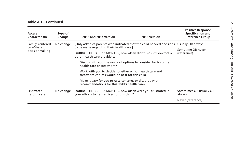## **Table A.1—Continued**

| <b>Access</b><br><b>Characteristic</b>           | Type of<br>Change | 2016 and 2017 Version                                                                                            | 2018 Version | <b>Positive Response</b><br><b>Specification and</b><br><b>Reference Group</b> |  |
|--------------------------------------------------|-------------------|------------------------------------------------------------------------------------------------------------------|--------------|--------------------------------------------------------------------------------|--|
| Family-centered<br>care/shared<br>decisionmaking | No change         | [Only asked of parents who indicated that the child needed decisions<br>to be made regarding their health care.] |              | Usually OR always<br>Sometime OR never<br>(reference)                          |  |
|                                                  |                   | DURING THE PAST 12 MONTHS, how often did this child's doctors or<br>other health care providers:                 |              |                                                                                |  |
|                                                  |                   | Discuss with you the range of options to consider for his or her<br>health care or treatment?                    |              |                                                                                |  |
|                                                  |                   | Work with you to decide together which health care and<br>treatment choices would be best for this child?        |              |                                                                                |  |
|                                                  |                   | Make it easy for you to raise concerns or disagree with<br>recommendations for this child's health care?         |              |                                                                                |  |
| Frustrated<br>getting care                       | No change         | DURING THE PAST 12 MONTHS, how often were you frustrated in<br>your efforts to get services for this child?      |              | Sometimes OR usually OR<br>always                                              |  |
|                                                  |                   |                                                                                                                  |              | Never (reference)                                                              |  |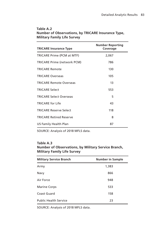| <b>TRICARE Insurance Type</b>  | <b>Number Reporting</b><br>Coverage |
|--------------------------------|-------------------------------------|
| TRICARE Prime (PCM at MTF)     | 2,067                               |
| TRICARE Prime (network PCM)    | 786                                 |
| <b>TRICARF Remote</b>          | 130                                 |
| <b>TRICARE Overseas</b>        | 105                                 |
| <b>TRICARE Remote Overseas</b> | 13                                  |
| <b>TRICARE Select</b>          | 553                                 |
| <b>TRICARE Select Overseas</b> | 5                                   |
| <b>TRICARE</b> for Life        | 43                                  |
| <b>TRICARE Reserve Select</b>  | 118                                 |
| <b>TRICARE Retired Reserve</b> | 8                                   |
| US Family Health Plan          | 87                                  |

### **Table A.2 Number of Observations, by TRICARE Insurance Type, Military Family Life Survey**

SOURCE: Analysis of 2018 MFLS data.

## **Table A.3 Number of Observations, by Military Service Branch, Military Family Life Survey**

| <b>Military Service Branch</b> | <b>Number in Sample</b> |
|--------------------------------|-------------------------|
| Army                           | 1,383                   |
| Navy                           | 866                     |
| Air Force                      | 948                     |
| <b>Marine Corps</b>            | 533                     |
| Coast Guard                    | 158                     |
| <b>Public Health Service</b>   | 23                      |

SOURCE: Analysis of 2018 MFLS data.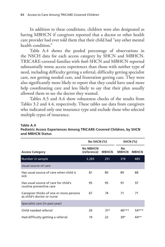In addition to these conditions, children were also designated as having MBHCN if caregivers reported that a doctor or other health care provider had ever told them that their child had "any other mental health condition."

Table A.4 shows the pooled percentage of observations in the NSCH data for each access category by SHCN and MBHCN. TRICARE-covered families with *both* SHCN and MBHCN reported substantially worse access experiences than those with neither type of need, including difficulty getting a referral, difficulty getting specialist care, not getting needed care, and frustration getting care. They were also significantly more likely to report that they could have used more help coordinating care and less likely to say that their plan usually allowed them to see the doctor they wanted.

Tables A.5 and A.6 show robustness checks of the results from Tables 3.2 and 4.4, respectively. These tables use data from caregivers who indicated only one insurance type and exclude those who selected multiple types of insurance.

|                                                                       | No SHCN (%)                    |              |                    | <b>SHCN (%)</b> |
|-----------------------------------------------------------------------|--------------------------------|--------------|--------------------|-----------------|
| <b>Access Category</b>                                                | <b>No MBHCN</b><br>(reference) | <b>MBHCN</b> | No<br><b>MBHCN</b> | <b>MBHCN</b>    |
| Number in sample                                                      | 2,265                          | 251          | 319                | 485             |
| Usual source of care                                                  |                                |              |                    |                 |
| Has usual source of care when child is<br>sick                        | 81                             | 80           | 89                 | 88              |
| Has usual source of care for child's<br>routine preventive care       | 95                             | 95           | 97                 | 97              |
| Caregiver thinks of one or more persons<br>as child's doctor or nurse | 67                             | 74           | 71                 | 71              |
| Specialist care (in past year)                                        |                                |              |                    |                 |
| Child needed referral                                                 | 20                             | $31*$        | $46***$            | $54***$         |
| Had difficulty getting a referral                                     | 19                             | 22           | $39*$              | $44**$          |

## **Table A.4**

**Pediatric Access Experiences Among TRICARE-Covered Children, by SHCN and MBHCN Status**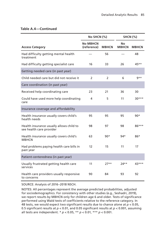|                                                                      | No SHCN (%)                    |              | <b>SHCN (%)</b>    |              |
|----------------------------------------------------------------------|--------------------------------|--------------|--------------------|--------------|
| <b>Access Category</b>                                               | <b>No MBHCN</b><br>(reference) | <b>MBHCN</b> | No<br><b>MBHCN</b> | <b>MBHCN</b> |
| Had difficulty getting mental health<br>treatment                    |                                | 56           |                    | 48           |
| Had difficulty getting specialist care                               | 16                             | 33           | 26                 | 45**         |
| Getting needed care (in past year)                                   |                                |              |                    |              |
| Child needed care but did not receive it                             | 2                              | 2            | 6                  | $9**$        |
| Care coordination (in past year)                                     |                                |              |                    |              |
| Received help coordinating care                                      | 23                             | 21           | 36                 | 30           |
| Could have used more help coordinating<br>care                       | 4                              | 5            | 11                 | $30***$      |
| Insurance coverage and affordability                                 |                                |              |                    |              |
| Health insurance usually covers child's<br>health needs              | 95                             | 95           | 95                 | $90*$        |
| Health insurance usually allows child to<br>see health care provider | 98                             | 97           | 98                 | 86***        |
| Health insurance usually covers child's<br><b>MBHCN</b>              | 63                             | $90*$        | $94*$              | $86*$        |
| Had problems paying health care bills in<br>past year                | 12                             | 15           | 11                 | 17           |
| Patient-centeredness (in past year)                                  |                                |              |                    |              |
| Usually frustrated getting health care<br>services                   | 11                             | $27**$       | $74**$             | $43***$      |
| Health care providers usually responsive<br>to concerns              | 90                             | 84           | 93                 | 92           |

#### **Table A.4—Continued**

SOURCE: Analysis of 2016–2018 NSCH.

NOTES: All percentages represent the average predicted probabilities, adjusted for sociodemographics. For consistency with other studies (e.g., Seshadri, 2019), we report results by MBHCN only for children age 6 and older. Tests of significance performed using Wald tests of coefficients relative to the reference category. In 48 tests, we would expect two significant results due to chance alone at *p* < 0.05, 0.5 significant results at *p* < 0.01, and 0.05 significant results at *p* < 0.001, assuming all tests are independent. \* *p* < 0.05, \*\* *p* < 0.01, \*\*\* *p* < 0.001.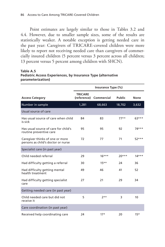Point estimates are largely similar to those in Tables 3.2 and 4.4. However, due to smaller sample sizes, some of the results are statistically weaker. A notable exception is getting needed care in the past year: Caregivers of TRICARE-covered children were more likely to report not receiving needed care than caregivers of commercially insured children (5 percent versus 3 percent across all children; 13 percent versus 5 percent among children with SHCN).

### **Table A.5 Pediatric Access Experiences, by Insurance Type (alternative parameterization)**

| <b>Access Category</b>                                                | <b>TRICARE</b><br>(reference) | Commercial | <b>Public</b> | None    |
|-----------------------------------------------------------------------|-------------------------------|------------|---------------|---------|
| Number in sample                                                      | 1,281                         | 68,663     | 18,702        | 3,632   |
| Usual source of care                                                  |                               |            |               |         |
| Has usual source of care when child<br>is sick                        | 84                            | 83         | $77**$        | $63***$ |
| Has usual source of care for child's<br>routine preventive care       | 95                            | 95         | 92            | $74***$ |
| Caregiver thinks of one or more<br>persons as child's doctor or nurse | 72                            | 77         | 71            | $52***$ |
| Specialist care (in past year)                                        |                               |            |               |         |
| Child needed referral                                                 | 29                            | $16***$    | $20***$       | $14***$ |
| Had difficulty getting a referral                                     | 30                            | $15***$    | 24            | 36      |
| Had difficulty getting mental<br>health treatment                     | 49                            | 46         | 41            | 52      |
| Had difficulty getting specialist<br>care                             | 27                            | 21         | 29            | 34      |
| Getting needed care (in past year)                                    |                               |            |               |         |
| Child needed care but did not<br>receive it                           | 5                             | $7**$      | 3             | 10      |
| Care coordination (in past year)                                      |                               |            |               |         |
| Received help coordinating care                                       | 24                            | $17*$      | 20            | $15*$   |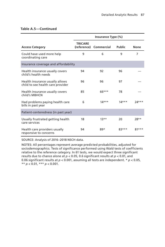|                                                                      | Insurance Type (%) |                        |               |             |
|----------------------------------------------------------------------|--------------------|------------------------|---------------|-------------|
| <b>Access Category</b>                                               | <b>TRICARE</b>     | (reference) Commercial | <b>Public</b> | <b>None</b> |
| Could have used more help<br>coordinating care                       | 9                  | 6                      | 9             | 7           |
| Insurance coverage and affordability                                 |                    |                        |               |             |
| Health insurance usually covers<br>child's health needs              | 94                 | 92                     | 96            |             |
| Health insurance usually allows<br>child to see health care provider | 96                 | 96                     | 97            |             |
| Health insurance usually covers<br>child's MBHCN                     | 85                 | $66***$                | 78            |             |
| Had problems paying health care<br>bills in past year                | 6                  | $14***$                | $14***$       | $74***$     |
| Patient-centeredness (in past year)                                  |                    |                        |               |             |
| Usually frustrated getting health<br>care services                   | 18                 | $13**$                 | 20            | $28**$      |
| Health care providers usually<br>responsive to concerns              | 94                 | $89*$                  | $83***$       | $81***$     |

### **Table A.5—Continued**

SOURCE: Analysis of 2016–2018 NSCH data.

NOTES: All percentages represent average predicted probabilities, adjusted for sociodemographics. Tests of significance performed using Wald tests of coefficients relative to the reference category. In 61 tests, we would expect three significant results due to chance alone at *p* < 0.05, 0.6 significant results at *p* < 0.01, and 0.06 significant results at *p* < 0.001, assuming all tests are independent. \* *p* < 0.05, \*\* *p* < 0.01, \*\*\* *p* < 0.001.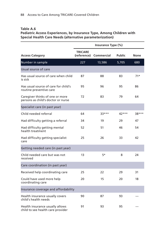#### **Table A.6**

### **Pediatric Access Experiences, by Insurance Type, Among Children with Special Health Care Needs (alternative parameterization)**

|                                                                       | Insurance Type (%)            |            |               |             |
|-----------------------------------------------------------------------|-------------------------------|------------|---------------|-------------|
| <b>Access Category</b>                                                | <b>TRICARE</b><br>(reference) | Commercial | <b>Public</b> | <b>None</b> |
| Number in sample                                                      | 227                           | 13,586     | 5,705         | 680         |
| Usual source of care                                                  |                               |            |               |             |
| Has usual source of care when child<br>is sick                        | 87                            | 88         | 83            | $71*$       |
| Has usual source of care for child's<br>routine preventive care       | 95                            | 96         | 95            | 86          |
| Caregiver thinks of one or more<br>persons as child's doctor or nurse | 72                            | 83         | 79            | 64          |
| Specialist care (in past year)                                        |                               |            |               |             |
| Child needed referral                                                 | 64                            | 33***      | $42***$       | 38***       |
| Had difficulty getting a referral                                     | 34                            | 19         | 29            | 47          |
| Had difficulty getting mental<br>health treatment                     | 52                            | 51         | 46            | 54          |
| Had difficulty getting specialist<br>care                             | 25                            | 26         | 33            | 42          |
| Getting needed care (in past year)                                    |                               |            |               |             |
| Child needed care but was not<br>received                             | 13                            | 5*         | 8             | 24          |
| Care coordination (in past year)                                      |                               |            |               |             |
| Received help coordinating care                                       | 25                            | 22         | 29            | 31          |
| Could have used more help<br>coordinating care                        | 20                            | 15         | 20            | 18          |
| Insurance coverage and affordability                                  |                               |            |               |             |
| Health insurance usually covers<br>child's health needs               | 90                            | 87         | 93            |             |
| Health insurance usually allows<br>child to see health care provider  | 91                            | 93         | 95            |             |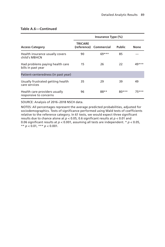|                                                         | Insurance Type (%) |                        |               |         |
|---------------------------------------------------------|--------------------|------------------------|---------------|---------|
| <b>Access Category</b>                                  | <b>TRICARE</b>     | (reference) Commercial | <b>Public</b> | None    |
| Health insurance usually covers<br>child's MBHCN        | 90                 | $69***$                | 85            |         |
| Had problems paying health care<br>bills in past year   | 15                 | 26                     | 22            | $49***$ |
| Patient-centeredness (in past year)                     |                    |                        |               |         |
| Usually frustrated getting health<br>care services      | 35                 | 29                     | 39            | 49      |
| Health care providers usually<br>responsive to concerns | 96                 | $88**$                 | $80***$       | $75***$ |

### **Table A.6—Continued**

SOURCE: Analysis of 2016–2018 NSCH data.

NOTES: All percentages represent the average predicted probabilities, adjusted for sociodemographics. Tests of significance performed using Wald tests of coefficients relative to the reference category. In 61 tests, we would expect three significant results due to chance alone at *p* < 0.05, 0.6 significant results at *p* < 0.01 and 0.06 significant results at *p* < 0.001, assuming all tests are independent. \* *p* < 0.05, \*\* *p* < 0.01, \*\*\* *p* < 0.001.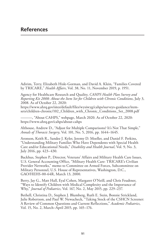## **References**

Adirim, Terry, Elizabeth Hisle-Gorman, and David A. Klein, "Families Covered by TRICARE," *Health Affairs*, Vol. 38, No. 11, November 2019, p. 1951.

Agency for Healthcare Research and Quality, *CAHPS Health Plan Survey and Reporting Kit 2008: About the Item Set for Children with Chronic Conditions*, July 3, 2008. As of October 22, 2020:

https://www.ahrq.gov/sites/default/files/wysiwyg/cahps/surveys-guidance/itemsets/children-chronic/102\_Children\_with\_Chronic\_Conditions\_Set\_2008.pdf

-, "About CAHPS," webpage, March 2020. As of October 22, 2020: https://www.ahrq.gov/cahps/about-cahps

Althouse, Andrew D., "Adjust for Multiple Comparisons? It's Not That Simple," *Annals of Thoracic Surgery*, Vol. 101, No. 5, 2016, pp. 1644–1645.

Aronson, Keith R., Sandee J. Kyler, Jeremy D. Moeller, and Daniel F. Perkins, "Understanding Military Families Who Have Dependents with Special Health Care and/or Educational Needs," *Disability and Health Journal*, Vol. 9, No. 3, July 2016, pp. 423–430.

Backhus, Stephen P., Director, Veterans' Affairs and Military Health Care Issues, U.S. General Accounting Office, "Military Health Care: TRICARE's Civilian Provider Networks," memo to Committee on Armed Forces, Subcommittee on Military Personnel, U.S. House of Representatives, Washington, D.C., GAO/HEHS-00-64R, March 13, 2000.

Berry, Jay G., Matt Hall, Eyal Cohen, Margaret O'Neill, and Chris Feudtner, "Ways to Identify Children with Medical Complexity and the Importance of Why," *Journal of Pediatrics*, Vol. 167, No. 2, May 2015, pp. 229–237.

Bethell, Christina D., Stephen J. Blumberg, Ruth E. Stein, Bonnie Strickland, Julie Robertson, and Paul W. Newacheck, "Taking Stock of the CSHCN Screener: A Review of Common Questions and Current Reflections," *Academic Pediatrics*, Vol. 15, No. 2, March–April 2015, pp. 165–176.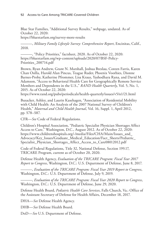## 92 Access to Care Among TRICARE-Covered Children

Blue Star Families, "Additional Survey Results," webpage, undated. As of October 22, 2020: [https://bluestarfam.org/survey-more-results](https://www.rand.org/pubs/periodicals/health-quarterly/issues/v5/n1/21.html)

———, *Military Family Lifestyle Survey: Comprehensive Report*, Encinitas, Calif., 2018.

-, "Policy Priorities," factsheet, 2020. As of October 22, 2020: https://bluestarfam.org/wp-content/uploads/2020/07/BSF-Policy-Priorities\_200714.pdf

Brown, Ryan Andrew, Grant N. Marshall, Joshua Breslau, Coreen Farris, Karen Chan Osilla, Harold Alan Pincus, Teague Ruder, Phoenix Voorhies, Dionne Barnes-Proby, Katherine Pfrommer, Lisa Kraus, Yashodhara Rana, and David M. [Adamson, "Access to Behavioral Health Care for Geographically Remote Serv](https://www.childrenshospitals.org/-/media/Files/CHA/Main/Issues_and_Advocacy/Key_Issues/Graduate_Medical_Education/Fact_Sheets/Pediatric_Specialist_Physician_Shortages_Affect_Access_to_Care08012012.pdf)ice Members and Dependents in the U.S.," *RAND Health Quarterly*, Vol. 5, No. 1, 2015. As of October 22, 2020:

https://www.rand.org/pubs/periodicals/health-quarterly/issues/v5/n1/21.html

Busacker, Ashley, and Laurin Kasehagen, "Association of Residential Mobility with Child Health: An Analysis of the 2007 National Survey of Children's Health," *Maternal and Child Health Journal*, Vol. 16, Suppl. 1, April 2012, pp. S78–S87.

CFR—*See* Code of Federal Regulations.

Children's Hospital Association, "Pediatric Specialist Physician Shortages Affect Access to Care," Washington, D.C., August 2012. As of October 22, 2020: https://www.childrenshospitals.org/-/media/Files/CHA/Main/Issues\_and\_ Advocacy/Key\_Issues/Graduate\_Medical\_Education/Fact\_Sheets/Pediatric\_ Specialist\_Physician\_Shortages\_Affect\_Access\_to\_Care08012012.pdf

Code of Federal Regulations, Title 32, National Defense, Section 199.17, TRICARE Program, current as of October 20, 2020.

Defense Health Agency, *Evaluation of the TRICARE Program: Fiscal Year 2017 Report to Congress*, Washington, D.C.: U.S. Department of Defense, June 8, 2017.

———, *Evaluation of the TRICARE Program: Fiscal Year 2019 Report to Congress*, Washington, D.C.: U.S. Department of Defense, July 9, 2019.

———, *Evaluation of the TRICARE Program: Fiscal Year 2020 Report to Congress*, Washington, D.C.: U.S. Department of Defense, June 29, 2020.

Defense Health Board, *Pediatric Health Care Services*, Falls Church, Va.: Office of the Assistant Secretary of Defense for Health Affairs, December 18, 2017.

DHA—*See* Defense Health Agency.

DHB—*See* Defense Health Board.

DoD—*See* U.S. Department of Defense.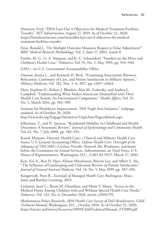References 93

Donovan, Fred, "DHA Lays Out 4 Objectives for Medical Treatment Facilities Transfer," *HIT Infrastructure*, August 27, 2019. As of October 22, 2020: https://hitinfrastructure.com/news/dha-lays-out-4-objectives-for-medicaltreatment-facilities-transfer

Feise, Ronald J., "Do Multiple Outcome Measures Require p-Value Adjustment?" *BMC Medical Research Methodology*, Vol. 2, June 17, 2002, article 8.

Fowler, M. G., G. A. Simpson, and K. C. Schoendorf, "Families on the Move and Children's Health Care," *Pediatrics*[, Vol. 91, No. 5, May 1993, pp. 93](http://www.ihi.org/Engage/Initiatives/TripleAim/Pages/default.aspx)4–940.

GAO—*See* U.S. Government Accountability Office.

Gleason, Jessica L., and Kenneth H. Beck, "Examining Associations Between Relocation, Continuity of Care, and Patient Satisfaction in Military Spouses," *Military Medicine*, Vol. 182, Nos. 5–6, 2017, pp. e1657–e1664.

Hero, Joachim O., Robert J. Blendon, Alan M. Zaslavsky, and Andrea L. Campbell, "Understanding What Makes Americans Dissatisfied with Their Health Care System: An International Comparison," *Health Affairs*, Vol. 35, No. 3, March 2016, pp. 502–509.

Institute for Healthcare Improvement, "IHI Triple Aim Initiative," webpage, undated. As of October 20, 2020: http://www.ihi.org/Engage/Initiatives/TripleAim/Pages/default.aspx

Jelleyman, T., and N. Spencer, "Residential Mobility in Childhood and Health Outcomes: A Systematic Review," *Journal of Epidemiology and Community Health*, Vol. 62, No. 7, July 2008, pp. 584–592.

Kanof, Marjorie, Director, Health Care—Clinical and Military Health Care Issues, U.S. General Accounting Office, *Defense Health Care: Oversight of the Adequacy of TRICARE's Civilian Provider Network Has Weaknesses*, testimony before the Committee on Armed Services, Subcommittee on Total Force, U.S. [House of Representatives, Washington, D.C., GAO-03-592T, March 27, 2003.](https://tricare.mil/survey/hcsurvey/2009/ChildTechnicalManual_FY2009.pdf)

Kerr, Eve A., Ron D. Hays, Allison Mitchinson, Martin Lee, and Albert L. Siu, "The Influence of Gatekeeping and Utilization Review on Patient Satisfaction," *Journal of General Internal Medicine*, Vol. 14, No. 5, May 1999, pp. 287–296.

Kongstvedt, Peter R., *Essentials of Managed Health Care*, Burlington, Mass.: Jones and Bartlett Learning, 2013.

Lichstein, Jesse C., Reem M. Ghandour, and Marie Y. Mann, "Access to the Medical Home Among Children with and Without Special Health Care Needs," *Pediatrics*, Vol. 142, No. 6, December 2018, article e20181795.

Mathematica Policy Research, *2010 Health Care Survey of DoD Beneficiaries: Child Technical Manual*, Washington, D.C., October 2010. As of October 22, 2020: https://tricare.mil/survey/hcsurvey/2009/ChildTechnicalManual\_FY2009.pdf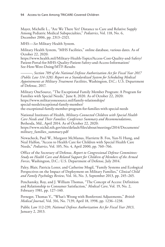[94 Access to Care Among TRICARE-Covered Children](https://www.health.mil/Military-Health-Topics/Access-Cost-Quality-and-Safety/Patient-Portal-for-MHS-Quality-Patient-Safety-and-Access-Information/See-How-Were-Doing/MTF-Results)

Mayer, Michelle L., "Are We There Yet? Distance to Care and Relative Supply Among Pediatric Medical Subspecialties," *Pediatrics*, Vol. 118, No. 6, December 2006, pp. 2313–2321.

MHS—*See* Military Health System.

[Military Health System, "MHS Facilities," online database, various dates](https://www.militaryonesource.mil/family-relationships/special-needs/exceptional-family-member/the-exceptional-family-member-program-for-families-with-special-needs). As of October 22, 2020: https://www.health.mil/Military-Health-Topics/Access-Cost-Quality-and-Safety/ Patient-Portal-for-MHS-Quality-Patient-Safety-and-Access-Information/ See-How-Were-Doing/MTF-Results

———, *Section 709 of the National Defense Authorization Act for Fiscal Year 2017 [\(Public Law 114-328\): Report on a Standardized System for Scheduling Medical](https://www.nichd.nih.gov/sites/default/files/about/meetings/2014/Documents/military_families_summary.pdf)  Appointments at Military Treatment Facilities*, Washington, D.C.: U.S. Department of Defense, 2017.

Military OneSource, "The Exceptional Family Member Program: A Program for Families with Special Needs," June 8, 2020. As of October 22, 2020: https://www.militaryonesource.mil/family-relationships/ special-needs/exceptional-family-member/ the-exceptional-family-member-program-for-families-with-special-needs

National Institutes of Health, *Military-Connected Children with Special Health Care Needs and Their Families: Conference Summary and Recommendations*, Bethesda, Md., April 2014. As of October 22, 2020: https://www.nichd.nih.gov/sites/default/files/about/meetings/2014/Documents/ military\_families\_summary.pdf

Newacheck, Paul W., Margaret McManus, Harriette B. Fox, Yun-Yi Hung, and Neal Halfon, "Access to Health Care for Children with Special Health Care Needs," *Pediatrics*, Vol. 105, No. 4, April 2000, pp. 760–766.

Office of the Secretary of Defense, *Report to Congressional Defense Committees: Study on Health Care and Related Support for Children of Members of the Armed Forces*, Washington, D.C.: U.S. Department of Defense, July 2014.

Paley, Blair, Patricia Lester, and Catherine Mogil, "Family Systems and Ecological Perspectives on the Impact of Deployment on Military Families," *Clinical Child and Family Psychology Review*, Vol. 16, No. 3, September 2013, pp. 245–265.

Penchansky, Roy, and J. William Thomas, "The Concept of Access: Definition and Relationship to Consumer Satisfaction," *Medical Care*, Vol. 19, No. 2, February 1981, pp. 127–140.

Perneger, Thomas V., "What's Wrong with Bonferroni Adjustments," *British Medical Journal*, Vol. 316, No. 7139, April 18, 1998, pp. 1236–1238.

Public Law 112-239, *National Defense Authorization Act for Fiscal Year 2013*, January 2, 2013.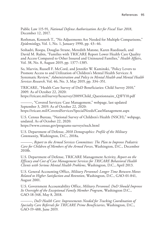References 95

Public Law 115-91, *National Defense Authorization Act for Fiscal Year 2018*, December 12, 2017.

[Rothman, Kenneth T., "No Adjustments Are Needed for Multiple Compariso](https://tricare.mil/survey/hcsurvey/2009/Child_Questionnaire_Q3FY10.pdf)ns," *Epidemiology*, Vol. 1, No. 1, January 1990, pp. 43–46.

Seshadri, Roopa, Douglas Strane, Meredith Matone, Karen Ruedisueli, and [David M. Rubin, "Families with TRICARE Report Lower Health Care Q](https://tricare.mil/CoveredServices/SpecialNeeds/CaseManagement.aspx)uality and Access Compared to Other Insured and Uninsured Families," *Health Affairs*, Vol. 38, No. 8, August 2019, pp. 1377–1385.

[So, Marvin, Russell F. McCord, and Jennifer W. Kam](https://www.census.gov/programs-surveys/nsch.html)inski, "Policy Levers to Promote Access to and Utilization of Children's Mental Health Services: A Systematic Review," *Administration and Policy in Mental Health and Mental Health Services Research*, Vol. 46, No. 3, May 2019, pp. 334–351.

TRICARE, "Health Care Survey of DoD Beneficiaries: Child Survey 2010," 2009. As of October 22, 2020: https://tricare.mil/survey/hcsurvey/2009/Child\_Questionnaire\_Q3FY10.pdf

-, "Covered Services: Case Management," webpage, last updated September 3, 2019. As of October 22, 2020:

https://tricare.mil/CoveredServices/SpecialNeeds/CaseManagement.aspx

U.S. Census Bureau, "National Survey of Children's Health (NSCH)," webpage, undated. As of October 22, 2020:

https://www.census.gov/programs-surveys/nsch.html

U.S. Department of Defense, *2018 Demographics: Profile of the Military Community*, Washington, D.C., 2018a.

———, *Report to the Armed Services Committees: The Plan to Improve Pediatric Care for Children of Members of the Armed Forces*, Washington, D.C., December 2018b.

U.S. Department of Defense, TRICARE Management Activity, *Report on the Efficacy and Cost of Case Management Services for TRICARE Behavioral Health Clients with Serious Mental Health Problems*, Washington, D.C., April 2013.

U.S. General Accounting Office, *Military Personnel: Longer Time Between Moves Related to Higher Satisfaction and Retention*, Washington, D.C., GAO-01-841, August 2001.

U.S. Government Accountability Office, *Military Personnel: DoD Should Improve Its Oversight of the Exceptional Family Member Program*, Washington D.C., GAO-18-348, May 8, 2018.

———, *DoD Health Care: Improvements Needed for Tracking Coordination of Specialty Care Referrals for TRICARE Prime Beneficiaries*, Washington, D.C., GAO-19-488, June 2019.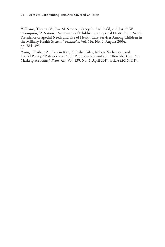Williams, Thomas V., Eric M. Schone, Nancy D. Archibald, and Joseph W. Thompson, "A National Assessment of Children with Special Health Care Needs: Prevalence of Special Needs and Use of Health Care Services Among Children in the Military Health System," *Pediatrics*, Vol. 114, No. 2, August 2004, pp. 384–393.

Wong, Charlene A., Kristin Kan, Zuleyha Cidav, Robert Nathenson, and Daniel Polsky, "Pediatric and Adult Physician Networks in Affordable Care Act Marketplace Plans," *Pediatrics*, Vol. 139, No. 4, April 2017, article e201631117.